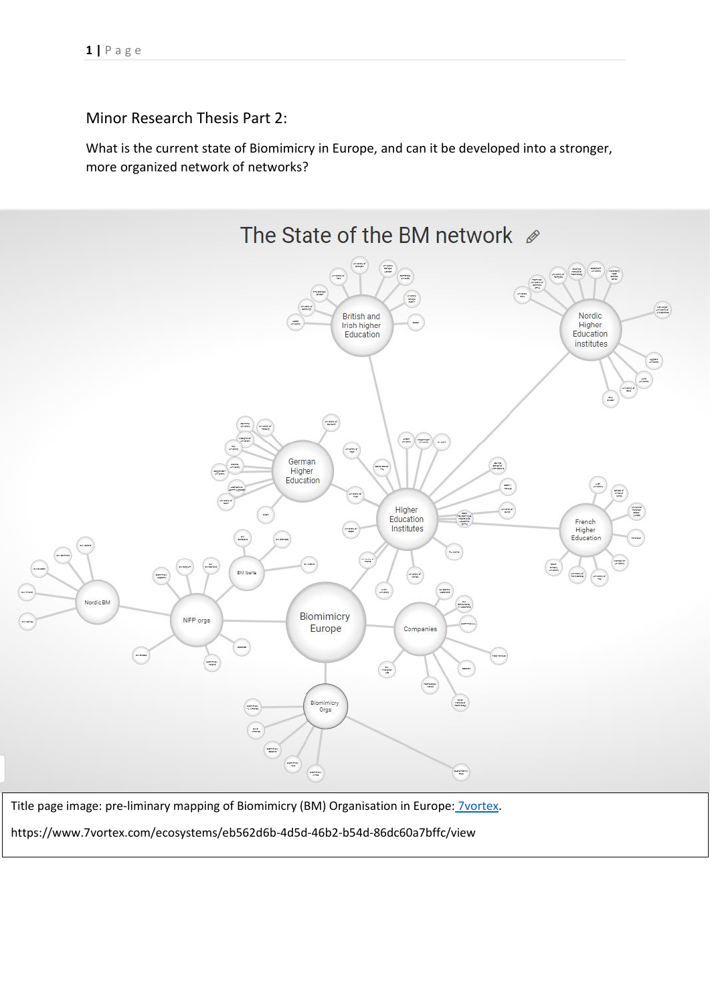Minor Research Thesis Part 2:

What is the current state of Biomimicry in Europe, and can it be developed into a stronger, more organized network of networks?



Title page image: pre-liminary mapping of Biomimicry (BM) Organisation in Europe: [7vortex.](https://www.7vortex.com/ecosystems/eb562d6b-4d5d-46b2-b54d-86dc60a7bffc/view)

https://www.7vortex.com/ecosystems/eb562d6b-4d5d-46b2-b54d-86dc60a7bffc/view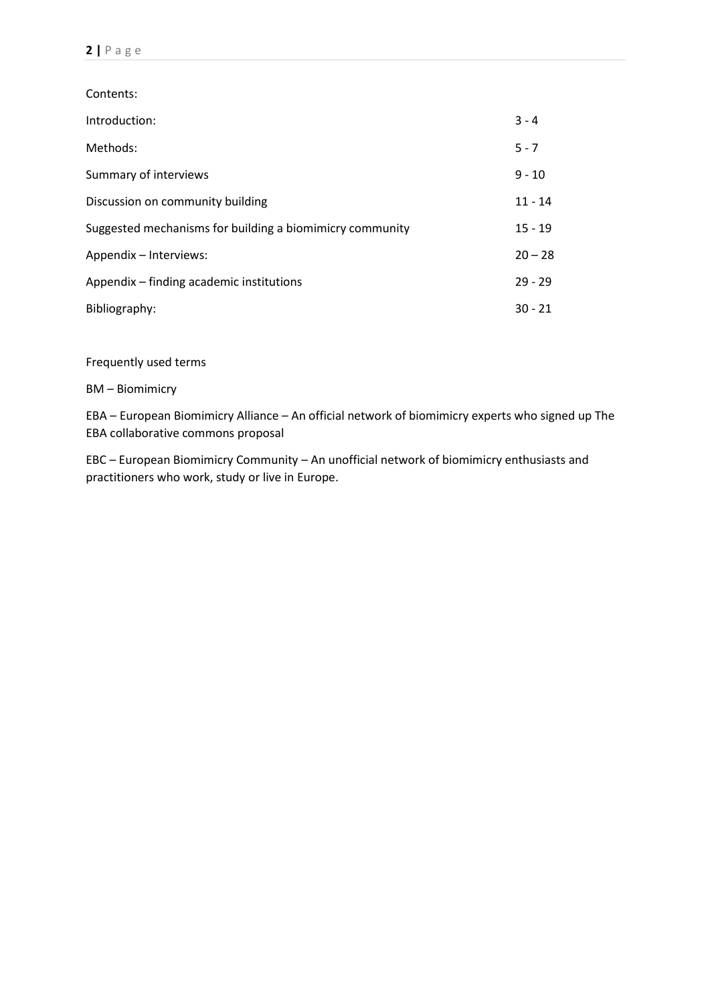Contents: Introduction: 3 - 4 Methods: 5 - 7 Summary of interviews 3.1 and 2.1 and 2.1 and 2.1 and 2.1 and 2.1 and 2.1 and 2.1 and 2.1 and 2.1 and 2.1 and 2.1 and 2.1 and 2.1 and 2.1 and 2.1 and 2.1 and 2.1 and 2.1 and 2.1 and 2.1 and 2.1 and 2.1 and 2.1 and 2.1 and Discussion on community building 11 - 14 Suggested mechanisms for building a biomimicry community 15 - 19 Appendix – Interviews: 20 – 28 Appendix – finding academic institutions 29 - 29 Bibliography: 30 - 21

Frequently used terms

BM – Biomimicry

EBA – European Biomimicry Alliance – An official network of biomimicry experts who signed up The EBA collaborative commons proposal

EBC – European Biomimicry Community – An unofficial network of biomimicry enthusiasts and practitioners who work, study or live in Europe.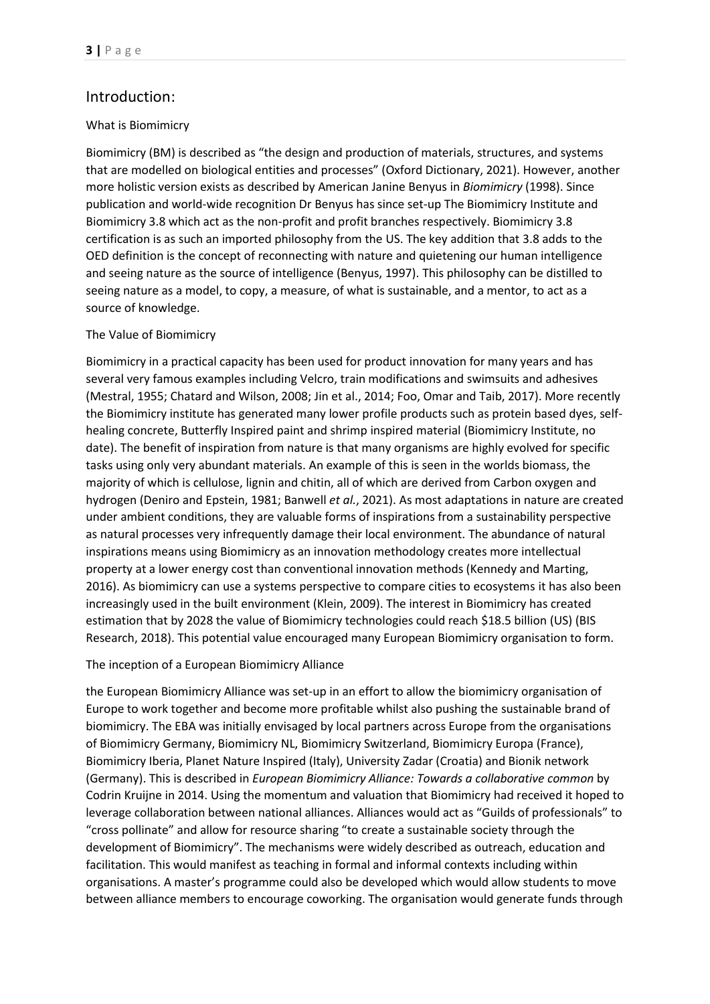# Introduction:

## What is Biomimicry

Biomimicry (BM) is described as "the design and production of materials, structures, and systems that are modelled on biological entities and processes" (Oxford Dictionary, 2021). However, another more holistic version exists as described by American Janine Benyus in *Biomimicry* (1998). Since publication and world-wide recognition Dr Benyus has since set-up The Biomimicry Institute and Biomimicry 3.8 which act as the non-profit and profit branches respectively. Biomimicry 3.8 certification is as such an imported philosophy from the US. The key addition that 3.8 adds to the OED definition is the concept of reconnecting with nature and quietening our human intelligence and seeing nature as the source of intelligence (Benyus, 1997). This philosophy can be distilled to seeing nature as a model, to copy, a measure, of what is sustainable, and a mentor, to act as a source of knowledge.

## The Value of Biomimicry

Biomimicry in a practical capacity has been used for product innovation for many years and has several very famous examples including Velcro, train modifications and swimsuits and adhesives (Mestral, 1955; Chatard and Wilson, 2008; Jin et al., 2014; Foo, Omar and Taib, 2017). More recently the Biomimicry institute has generated many lower profile products such as protein based dyes, selfhealing concrete, Butterfly Inspired paint and shrimp inspired material (Biomimicry Institute, no date). The benefit of inspiration from nature is that many organisms are highly evolved for specific tasks using only very abundant materials. An example of this is seen in the worlds biomass, the majority of which is cellulose, lignin and chitin, all of which are derived from Carbon oxygen and hydrogen (Deniro and Epstein, 1981; Banwell *et al.*, 2021). As most adaptations in nature are created under ambient conditions, they are valuable forms of inspirations from a sustainability perspective as natural processes very infrequently damage their local environment. The abundance of natural inspirations means using Biomimicry as an innovation methodology creates more intellectual property at a lower energy cost than conventional innovation methods (Kennedy and Marting, 2016). As biomimicry can use a systems perspective to compare cities to ecosystems it has also been increasingly used in the built environment (Klein, 2009). The interest in Biomimicry has created estimation that by 2028 the value of Biomimicry technologies could reach \$18.5 billion (US) (BIS Research, 2018). This potential value encouraged many European Biomimicry organisation to form.

#### The inception of a European Biomimicry Alliance

the European Biomimicry Alliance was set-up in an effort to allow the biomimicry organisation of Europe to work together and become more profitable whilst also pushing the sustainable brand of biomimicry. The EBA was initially envisaged by local partners across Europe from the organisations of Biomimicry Germany, Biomimicry NL, Biomimicry Switzerland, Biomimicry Europa (France), Biomimicry Iberia, Planet Nature Inspired (Italy), University Zadar (Croatia) and Bionik network (Germany). This is described in *European Biomimicry Alliance: Towards a collaborative common* by Codrin Kruijne in 2014. Using the momentum and valuation that Biomimicry had received it hoped to leverage collaboration between national alliances. Alliances would act as "Guilds of professionals" to "cross pollinate" and allow for resource sharing "to create a sustainable society through the development of Biomimicry". The mechanisms were widely described as outreach, education and facilitation. This would manifest as teaching in formal and informal contexts including within organisations. A master's programme could also be developed which would allow students to move between alliance members to encourage coworking. The organisation would generate funds through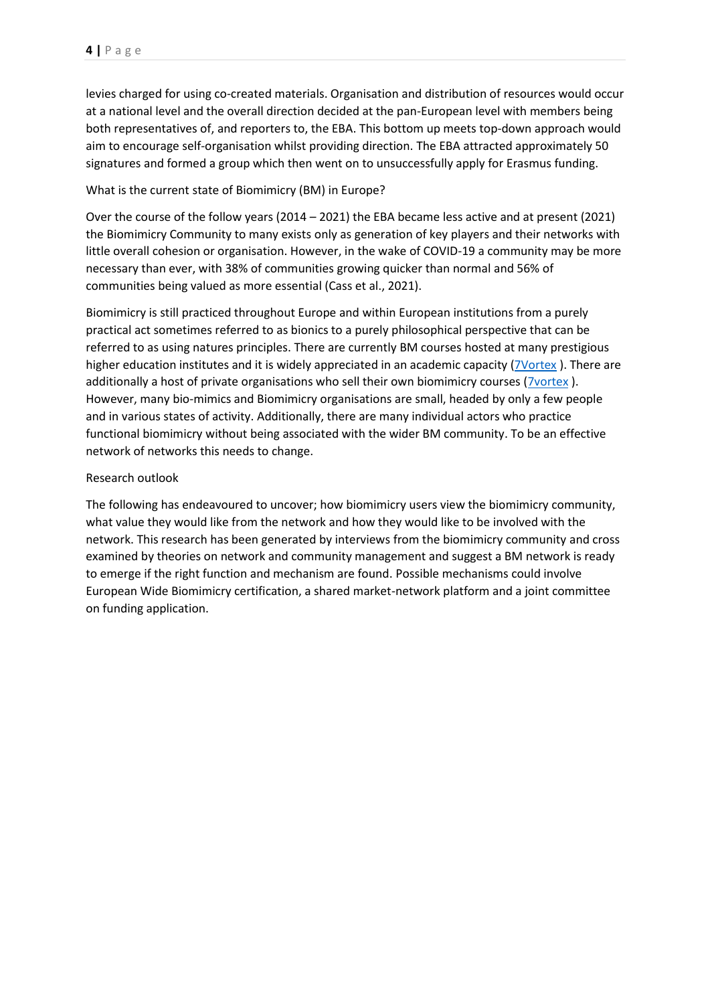levies charged for using co-created materials. Organisation and distribution of resources would occur at a national level and the overall direction decided at the pan-European level with members being both representatives of, and reporters to, the EBA. This bottom up meets top-down approach would aim to encourage self-organisation whilst providing direction. The EBA attracted approximately 50 signatures and formed a group which then went on to unsuccessfully apply for Erasmus funding.

## What is the current state of Biomimicry (BM) in Europe?

Over the course of the follow years (2014 – 2021) the EBA became less active and at present (2021) the Biomimicry Community to many exists only as generation of key players and their networks with little overall cohesion or organisation. However, in the wake of COVID-19 a community may be more necessary than ever, with 38% of communities growing quicker than normal and 56% of communities being valued as more essential (Cass et al., 2021).

Biomimicry is still practiced throughout Europe and within European institutions from a purely practical act sometimes referred to as bionics to a purely philosophical perspective that can be referred to as using natures principles. There are currently BM courses hosted at many prestigious higher education institutes and it is widely appreciated in an academic capacity [\(7Vortex](https://www.7vortex.com/ecosystems/eb562d6b-4d5d-46b2-b54d-86dc60a7bffc/view)). There are additionally a host of private organisations who sell their own biomimicry courses [\(7vortex](https://www.7vortex.com/ecosystems/eb562d6b-4d5d-46b2-b54d-86dc60a7bffc/view) ). However, many bio-mimics and Biomimicry organisations are small, headed by only a few people and in various states of activity. Additionally, there are many individual actors who practice functional biomimicry without being associated with the wider BM community. To be an effective network of networks this needs to change.

## Research outlook

The following has endeavoured to uncover; how biomimicry users view the biomimicry community, what value they would like from the network and how they would like to be involved with the network. This research has been generated by interviews from the biomimicry community and cross examined by theories on network and community management and suggest a BM network is ready to emerge if the right function and mechanism are found. Possible mechanisms could involve European Wide Biomimicry certification, a shared market-network platform and a joint committee on funding application.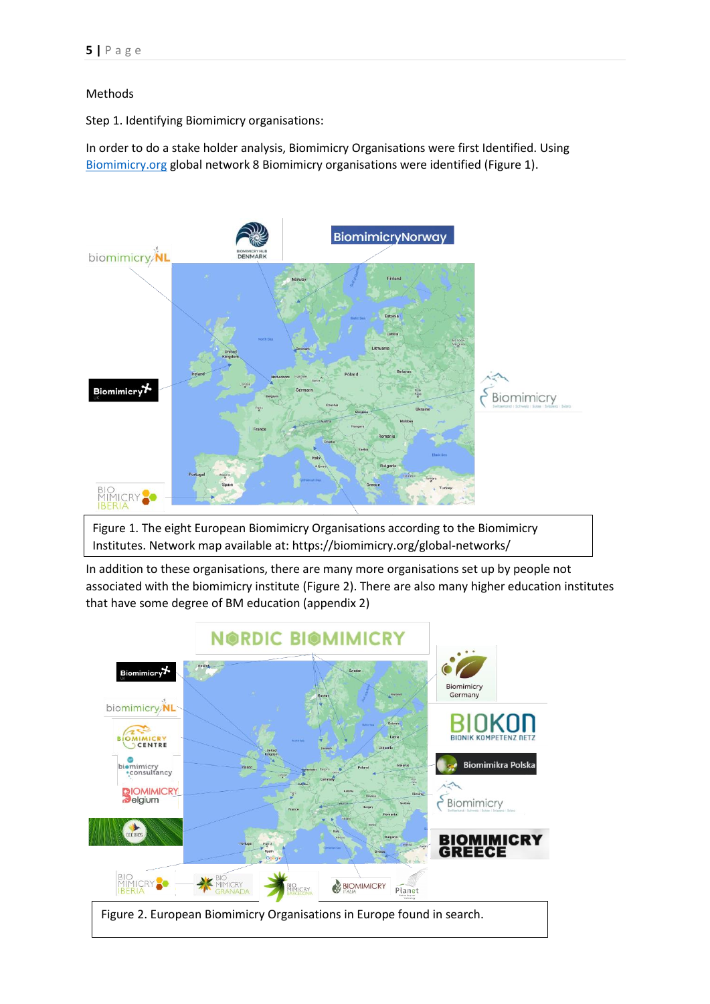## Methods

Step 1. Identifying Biomimicry organisations:

In order to do a stake holder analysis, Biomimicry Organisations were first Identified. Using [Biomimicry.org](https://biomimicry.org/global-networks/) global network 8 Biomimicry organisations were identified (Figure 1).



Figure 1. The eight European Biomimicry Organisations according to the Biomimicry Institutes. Network map available at: https://biomimicry.org/global-networks/

In addition to these organisations, there are many more organisations set up by people not associated with the biomimicry institute (Figure 2). There are also many higher education institutes that have some degree of BM education (appendix 2)

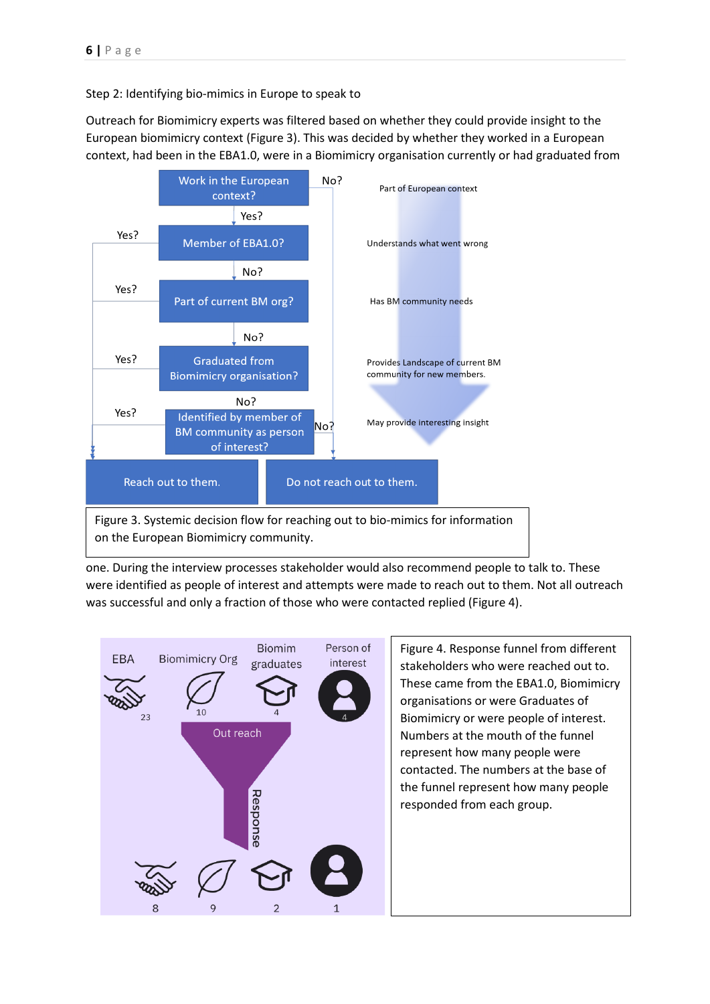Step 2: Identifying bio-mimics in Europe to speak to

Outreach for Biomimicry experts was filtered based on whether they could provide insight to the European biomimicry context (Figure 3). This was decided by whether they worked in a European context, had been in the EBA1.0, were in a Biomimicry organisation currently or had graduated from



on the European Biomimicry community.

one. During the interview processes stakeholder would also recommend people to talk to. These were identified as people of interest and attempts were made to reach out to them. Not all outreach was successful and only a fraction of those who were contacted replied (Figure 4).



Figure 4. Response funnel from different stakeholders who were reached out to. These came from the EBA1.0, Biomimicry organisations or were Graduates of Biomimicry or were people of interest. Numbers at the mouth of the funnel represent how many people were contacted. The numbers at the base of the funnel represent how many people responded from each group.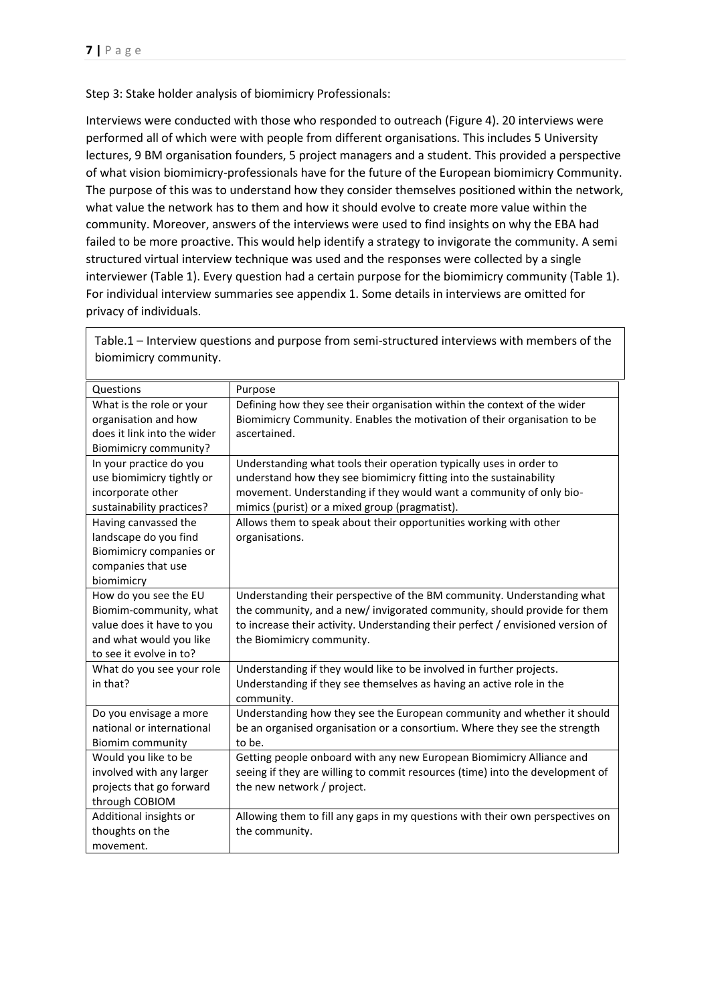Step 3: Stake holder analysis of biomimicry Professionals:

Interviews were conducted with those who responded to outreach (Figure 4). 20 interviews were performed all of which were with people from different organisations. This includes 5 University lectures, 9 BM organisation founders, 5 project managers and a student. This provided a perspective of what vision biomimicry-professionals have for the future of the European biomimicry Community. The purpose of this was to understand how they consider themselves positioned within the network, what value the network has to them and how it should evolve to create more value within the community. Moreover, answers of the interviews were used to find insights on why the EBA had failed to be more proactive. This would help identify a strategy to invigorate the community. A semi structured virtual interview technique was used and the responses were collected by a single interviewer (Table 1). Every question had a certain purpose for the biomimicry community (Table 1). For individual interview summaries see appendix 1. Some details in interviews are omitted for privacy of individuals.

| Questions                   | Purpose                                                                         |  |
|-----------------------------|---------------------------------------------------------------------------------|--|
| What is the role or your    | Defining how they see their organisation within the context of the wider        |  |
| organisation and how        | Biomimicry Community. Enables the motivation of their organisation to be        |  |
| does it link into the wider | ascertained.                                                                    |  |
| Biomimicry community?       |                                                                                 |  |
| In your practice do you     | Understanding what tools their operation typically uses in order to             |  |
| use biomimicry tightly or   | understand how they see biomimicry fitting into the sustainability              |  |
| incorporate other           | movement. Understanding if they would want a community of only bio-             |  |
| sustainability practices?   | mimics (purist) or a mixed group (pragmatist).                                  |  |
| Having canvassed the        | Allows them to speak about their opportunities working with other               |  |
| landscape do you find       | organisations.                                                                  |  |
| Biomimicry companies or     |                                                                                 |  |
| companies that use          |                                                                                 |  |
| biomimicry                  |                                                                                 |  |
| How do you see the EU       | Understanding their perspective of the BM community. Understanding what         |  |
| Biomim-community, what      | the community, and a new/ invigorated community, should provide for them        |  |
| value does it have to you   | to increase their activity. Understanding their perfect / envisioned version of |  |
| and what would you like     | the Biomimicry community.                                                       |  |
| to see it evolve in to?     |                                                                                 |  |
| What do you see your role   | Understanding if they would like to be involved in further projects.            |  |
| in that?                    | Understanding if they see themselves as having an active role in the            |  |
|                             | community.                                                                      |  |
| Do you envisage a more      | Understanding how they see the European community and whether it should         |  |
| national or international   | be an organised organisation or a consortium. Where they see the strength       |  |
| <b>Biomim community</b>     | to be.                                                                          |  |
| Would you like to be        | Getting people onboard with any new European Biomimicry Alliance and            |  |
| involved with any larger    | seeing if they are willing to commit resources (time) into the development of   |  |
| projects that go forward    | the new network / project.                                                      |  |
| through COBIOM              |                                                                                 |  |
| Additional insights or      | Allowing them to fill any gaps in my questions with their own perspectives on   |  |
| thoughts on the             | the community.                                                                  |  |
| movement.                   |                                                                                 |  |

Table.1 – Interview questions and purpose from semi-structured interviews with members of the biomimicry community.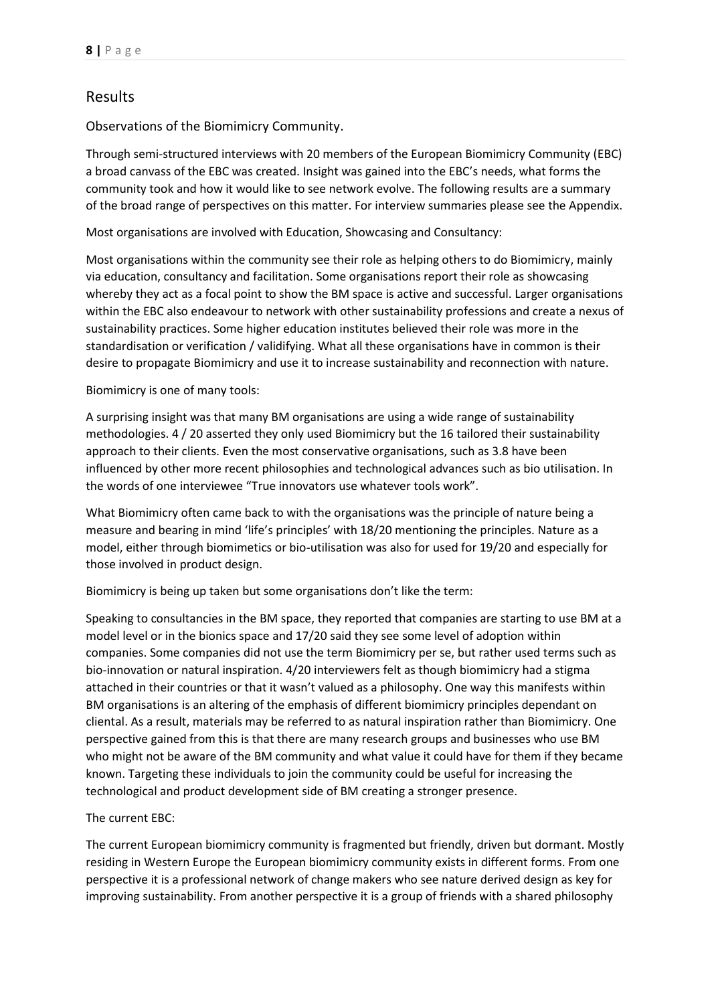# Results

Observations of the Biomimicry Community.

Through semi-structured interviews with 20 members of the European Biomimicry Community (EBC) a broad canvass of the EBC was created. Insight was gained into the EBC's needs, what forms the community took and how it would like to see network evolve. The following results are a summary of the broad range of perspectives on this matter. For interview summaries please see the Appendix.

Most organisations are involved with Education, Showcasing and Consultancy:

Most organisations within the community see their role as helping others to do Biomimicry, mainly via education, consultancy and facilitation. Some organisations report their role as showcasing whereby they act as a focal point to show the BM space is active and successful. Larger organisations within the EBC also endeavour to network with other sustainability professions and create a nexus of sustainability practices. Some higher education institutes believed their role was more in the standardisation or verification / validifying. What all these organisations have in common is their desire to propagate Biomimicry and use it to increase sustainability and reconnection with nature.

Biomimicry is one of many tools:

A surprising insight was that many BM organisations are using a wide range of sustainability methodologies. 4 / 20 asserted they only used Biomimicry but the 16 tailored their sustainability approach to their clients. Even the most conservative organisations, such as 3.8 have been influenced by other more recent philosophies and technological advances such as bio utilisation. In the words of one interviewee "True innovators use whatever tools work".

What Biomimicry often came back to with the organisations was the principle of nature being a measure and bearing in mind 'life's principles' with 18/20 mentioning the principles. Nature as a model, either through biomimetics or bio-utilisation was also for used for 19/20 and especially for those involved in product design.

Biomimicry is being up taken but some organisations don't like the term:

Speaking to consultancies in the BM space, they reported that companies are starting to use BM at a model level or in the bionics space and 17/20 said they see some level of adoption within companies. Some companies did not use the term Biomimicry per se, but rather used terms such as bio-innovation or natural inspiration. 4/20 interviewers felt as though biomimicry had a stigma attached in their countries or that it wasn't valued as a philosophy. One way this manifests within BM organisations is an altering of the emphasis of different biomimicry principles dependant on cliental. As a result, materials may be referred to as natural inspiration rather than Biomimicry. One perspective gained from this is that there are many research groups and businesses who use BM who might not be aware of the BM community and what value it could have for them if they became known. Targeting these individuals to join the community could be useful for increasing the technological and product development side of BM creating a stronger presence.

The current EBC:

The current European biomimicry community is fragmented but friendly, driven but dormant. Mostly residing in Western Europe the European biomimicry community exists in different forms. From one perspective it is a professional network of change makers who see nature derived design as key for improving sustainability. From another perspective it is a group of friends with a shared philosophy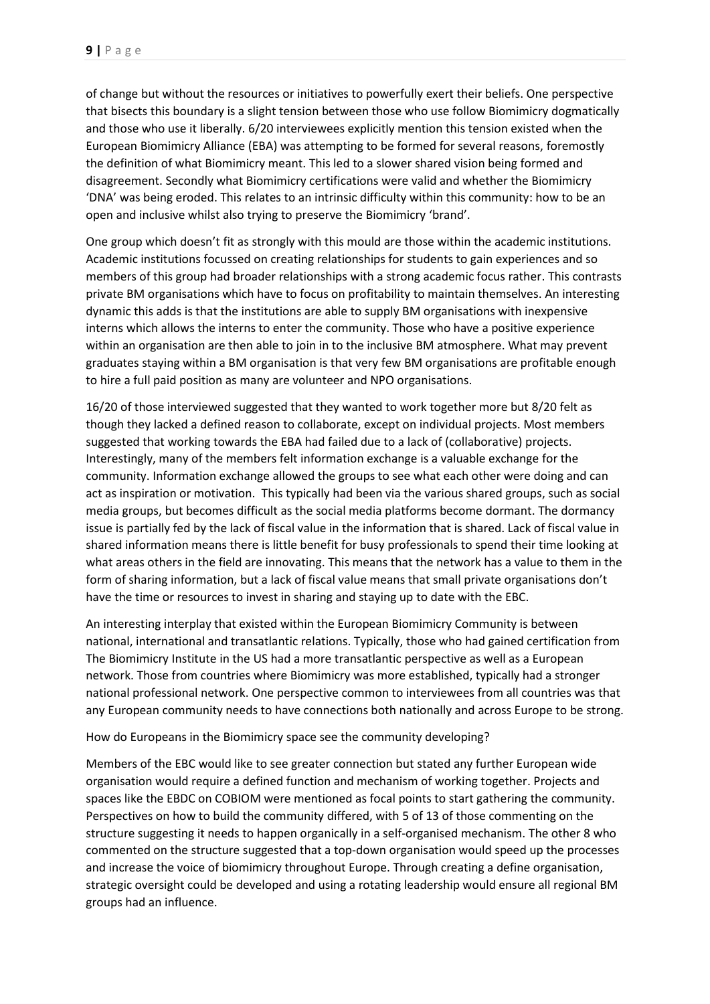of change but without the resources or initiatives to powerfully exert their beliefs. One perspective that bisects this boundary is a slight tension between those who use follow Biomimicry dogmatically and those who use it liberally. 6/20 interviewees explicitly mention this tension existed when the European Biomimicry Alliance (EBA) was attempting to be formed for several reasons, foremostly the definition of what Biomimicry meant. This led to a slower shared vision being formed and disagreement. Secondly what Biomimicry certifications were valid and whether the Biomimicry 'DNA' was being eroded. This relates to an intrinsic difficulty within this community: how to be an open and inclusive whilst also trying to preserve the Biomimicry 'brand'.

One group which doesn't fit as strongly with this mould are those within the academic institutions. Academic institutions focussed on creating relationships for students to gain experiences and so members of this group had broader relationships with a strong academic focus rather. This contrasts private BM organisations which have to focus on profitability to maintain themselves. An interesting dynamic this adds is that the institutions are able to supply BM organisations with inexpensive interns which allows the interns to enter the community. Those who have a positive experience within an organisation are then able to join in to the inclusive BM atmosphere. What may prevent graduates staying within a BM organisation is that very few BM organisations are profitable enough to hire a full paid position as many are volunteer and NPO organisations.

16/20 of those interviewed suggested that they wanted to work together more but 8/20 felt as though they lacked a defined reason to collaborate, except on individual projects. Most members suggested that working towards the EBA had failed due to a lack of (collaborative) projects. Interestingly, many of the members felt information exchange is a valuable exchange for the community. Information exchange allowed the groups to see what each other were doing and can act as inspiration or motivation. This typically had been via the various shared groups, such as social media groups, but becomes difficult as the social media platforms become dormant. The dormancy issue is partially fed by the lack of fiscal value in the information that is shared. Lack of fiscal value in shared information means there is little benefit for busy professionals to spend their time looking at what areas others in the field are innovating. This means that the network has a value to them in the form of sharing information, but a lack of fiscal value means that small private organisations don't have the time or resources to invest in sharing and staying up to date with the EBC.

An interesting interplay that existed within the European Biomimicry Community is between national, international and transatlantic relations. Typically, those who had gained certification from The Biomimicry Institute in the US had a more transatlantic perspective as well as a European network. Those from countries where Biomimicry was more established, typically had a stronger national professional network. One perspective common to interviewees from all countries was that any European community needs to have connections both nationally and across Europe to be strong.

How do Europeans in the Biomimicry space see the community developing?

Members of the EBC would like to see greater connection but stated any further European wide organisation would require a defined function and mechanism of working together. Projects and spaces like the EBDC on COBIOM were mentioned as focal points to start gathering the community. Perspectives on how to build the community differed, with 5 of 13 of those commenting on the structure suggesting it needs to happen organically in a self-organised mechanism. The other 8 who commented on the structure suggested that a top-down organisation would speed up the processes and increase the voice of biomimicry throughout Europe. Through creating a define organisation, strategic oversight could be developed and using a rotating leadership would ensure all regional BM groups had an influence.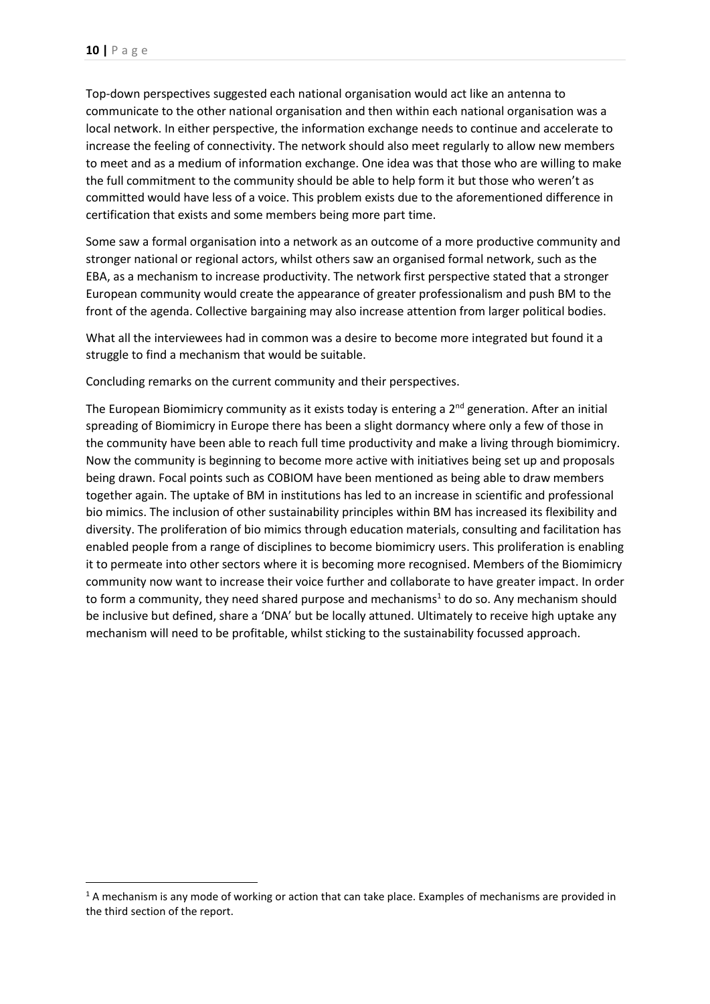Top-down perspectives suggested each national organisation would act like an antenna to communicate to the other national organisation and then within each national organisation was a local network. In either perspective, the information exchange needs to continue and accelerate to increase the feeling of connectivity. The network should also meet regularly to allow new members to meet and as a medium of information exchange. One idea was that those who are willing to make the full commitment to the community should be able to help form it but those who weren't as committed would have less of a voice. This problem exists due to the aforementioned difference in certification that exists and some members being more part time.

Some saw a formal organisation into a network as an outcome of a more productive community and stronger national or regional actors, whilst others saw an organised formal network, such as the EBA, as a mechanism to increase productivity. The network first perspective stated that a stronger European community would create the appearance of greater professionalism and push BM to the front of the agenda. Collective bargaining may also increase attention from larger political bodies.

What all the interviewees had in common was a desire to become more integrated but found it a struggle to find a mechanism that would be suitable.

Concluding remarks on the current community and their perspectives.

The European Biomimicry community as it exists today is entering a  $2<sup>nd</sup>$  generation. After an initial spreading of Biomimicry in Europe there has been a slight dormancy where only a few of those in the community have been able to reach full time productivity and make a living through biomimicry. Now the community is beginning to become more active with initiatives being set up and proposals being drawn. Focal points such as COBIOM have been mentioned as being able to draw members together again. The uptake of BM in institutions has led to an increase in scientific and professional bio mimics. The inclusion of other sustainability principles within BM has increased its flexibility and diversity. The proliferation of bio mimics through education materials, consulting and facilitation has enabled people from a range of disciplines to become biomimicry users. This proliferation is enabling it to permeate into other sectors where it is becoming more recognised. Members of the Biomimicry community now want to increase their voice further and collaborate to have greater impact. In order to form a community, they need shared purpose and mechanisms<sup>1</sup> to do so. Any mechanism should be inclusive but defined, share a 'DNA' but be locally attuned. Ultimately to receive high uptake any mechanism will need to be profitable, whilst sticking to the sustainability focussed approach.

 $1/1$  A mechanism is any mode of working or action that can take place. Examples of mechanisms are provided in the third section of the report.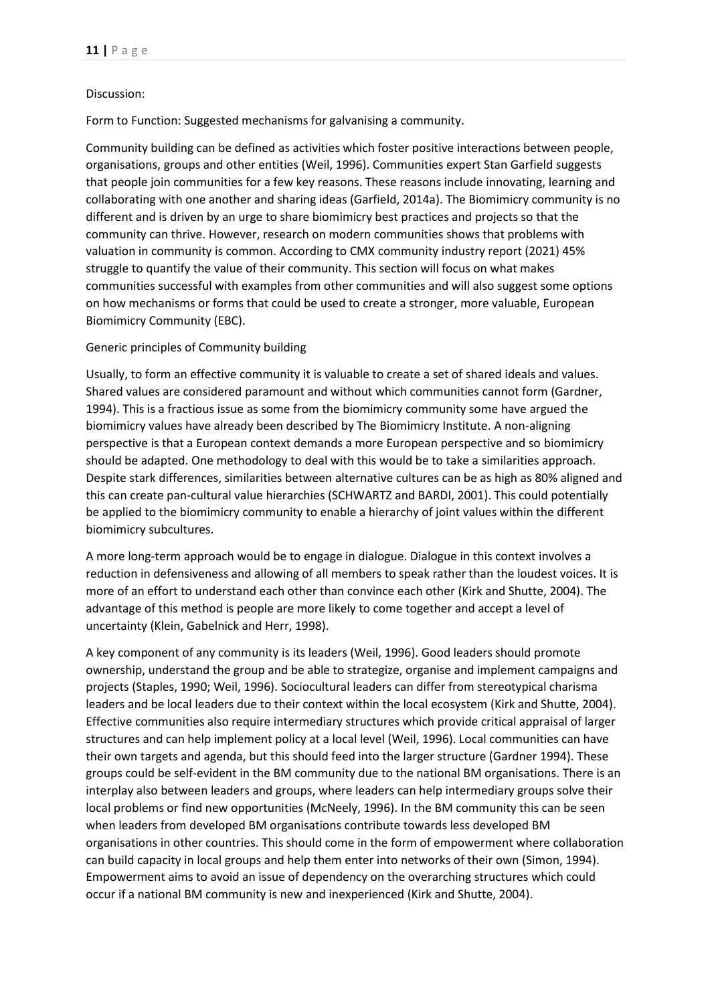### Discussion:

Form to Function: Suggested mechanisms for galvanising a community.

Community building can be defined as activities which foster positive interactions between people, organisations, groups and other entities (Weil, 1996). Communities expert Stan Garfield suggests that people join communities for a few key reasons. These reasons include innovating, learning and collaborating with one another and sharing ideas (Garfield, 2014a). The Biomimicry community is no different and is driven by an urge to share biomimicry best practices and projects so that the community can thrive. However, research on modern communities shows that problems with valuation in community is common. According to CMX community industry report (2021) 45% struggle to quantify the value of their community. This section will focus on what makes communities successful with examples from other communities and will also suggest some options on how mechanisms or forms that could be used to create a stronger, more valuable, European Biomimicry Community (EBC).

## Generic principles of Community building

Usually, to form an effective community it is valuable to create a set of shared ideals and values. Shared values are considered paramount and without which communities cannot form (Gardner, 1994). This is a fractious issue as some from the biomimicry community some have argued the biomimicry values have already been described by The Biomimicry Institute. A non-aligning perspective is that a European context demands a more European perspective and so biomimicry should be adapted. One methodology to deal with this would be to take a similarities approach. Despite stark differences, similarities between alternative cultures can be as high as 80% aligned and this can create pan-cultural value hierarchies (SCHWARTZ and BARDI, 2001). This could potentially be applied to the biomimicry community to enable a hierarchy of joint values within the different biomimicry subcultures.

A more long-term approach would be to engage in dialogue. Dialogue in this context involves a reduction in defensiveness and allowing of all members to speak rather than the loudest voices. It is more of an effort to understand each other than convince each other (Kirk and Shutte, 2004). The advantage of this method is people are more likely to come together and accept a level of uncertainty (Klein, Gabelnick and Herr, 1998).

A key component of any community is its leaders (Weil, 1996). Good leaders should promote ownership, understand the group and be able to strategize, organise and implement campaigns and projects (Staples, 1990; Weil, 1996). Sociocultural leaders can differ from stereotypical charisma leaders and be local leaders due to their context within the local ecosystem (Kirk and Shutte, 2004). Effective communities also require intermediary structures which provide critical appraisal of larger structures and can help implement policy at a local level (Weil, 1996). Local communities can have their own targets and agenda, but this should feed into the larger structure (Gardner 1994). These groups could be self-evident in the BM community due to the national BM organisations. There is an interplay also between leaders and groups, where leaders can help intermediary groups solve their local problems or find new opportunities (McNeely, 1996). In the BM community this can be seen when leaders from developed BM organisations contribute towards less developed BM organisations in other countries. This should come in the form of empowerment where collaboration can build capacity in local groups and help them enter into networks of their own (Simon, 1994). Empowerment aims to avoid an issue of dependency on the overarching structures which could occur if a national BM community is new and inexperienced (Kirk and Shutte, 2004).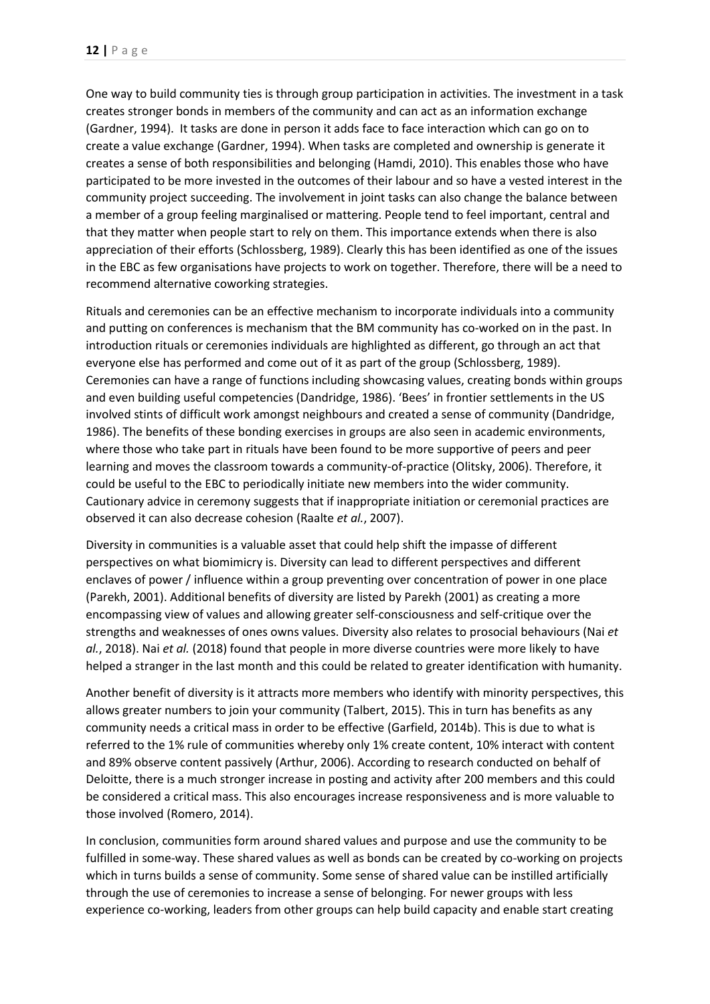One way to build community ties is through group participation in activities. The investment in a task creates stronger bonds in members of the community and can act as an information exchange (Gardner, 1994). It tasks are done in person it adds face to face interaction which can go on to create a value exchange (Gardner, 1994). When tasks are completed and ownership is generate it creates a sense of both responsibilities and belonging (Hamdi, 2010). This enables those who have participated to be more invested in the outcomes of their labour and so have a vested interest in the community project succeeding. The involvement in joint tasks can also change the balance between a member of a group feeling marginalised or mattering. People tend to feel important, central and that they matter when people start to rely on them. This importance extends when there is also appreciation of their efforts (Schlossberg, 1989). Clearly this has been identified as one of the issues in the EBC as few organisations have projects to work on together. Therefore, there will be a need to recommend alternative coworking strategies.

Rituals and ceremonies can be an effective mechanism to incorporate individuals into a community and putting on conferences is mechanism that the BM community has co-worked on in the past. In introduction rituals or ceremonies individuals are highlighted as different, go through an act that everyone else has performed and come out of it as part of the group (Schlossberg, 1989). Ceremonies can have a range of functions including showcasing values, creating bonds within groups and even building useful competencies (Dandridge, 1986). 'Bees' in frontier settlements in the US involved stints of difficult work amongst neighbours and created a sense of community (Dandridge, 1986). The benefits of these bonding exercises in groups are also seen in academic environments, where those who take part in rituals have been found to be more supportive of peers and peer learning and moves the classroom towards a community-of-practice (Olitsky, 2006). Therefore, it could be useful to the EBC to periodically initiate new members into the wider community. Cautionary advice in ceremony suggests that if inappropriate initiation or ceremonial practices are observed it can also decrease cohesion (Raalte *et al.*, 2007).

Diversity in communities is a valuable asset that could help shift the impasse of different perspectives on what biomimicry is. Diversity can lead to different perspectives and different enclaves of power / influence within a group preventing over concentration of power in one place (Parekh, 2001). Additional benefits of diversity are listed by Parekh (2001) as creating a more encompassing view of values and allowing greater self-consciousness and self-critique over the strengths and weaknesses of ones owns values. Diversity also relates to prosocial behaviours (Nai *et al.*, 2018). Nai *et al.* (2018) found that people in more diverse countries were more likely to have helped a stranger in the last month and this could be related to greater identification with humanity.

Another benefit of diversity is it attracts more members who identify with minority perspectives, this allows greater numbers to join your community (Talbert, 2015). This in turn has benefits as any community needs a critical mass in order to be effective (Garfield, 2014b). This is due to what is referred to the 1% rule of communities whereby only 1% create content, 10% interact with content and 89% observe content passively (Arthur, 2006). According to research conducted on behalf of Deloitte, there is a much stronger increase in posting and activity after 200 members and this could be considered a critical mass. This also encourages increase responsiveness and is more valuable to those involved (Romero, 2014).

In conclusion, communities form around shared values and purpose and use the community to be fulfilled in some-way. These shared values as well as bonds can be created by co-working on projects which in turns builds a sense of community. Some sense of shared value can be instilled artificially through the use of ceremonies to increase a sense of belonging. For newer groups with less experience co-working, leaders from other groups can help build capacity and enable start creating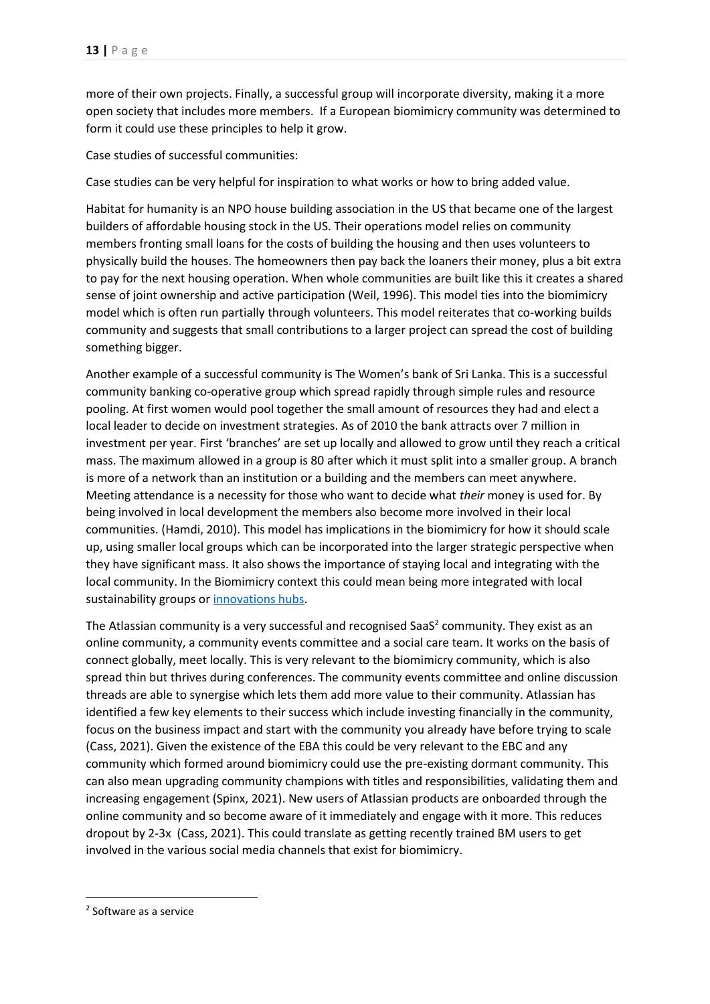more of their own projects. Finally, a successful group will incorporate diversity, making it a more open society that includes more members. If a European biomimicry community was determined to form it could use these principles to help it grow.

Case studies of successful communities:

Case studies can be very helpful for inspiration to what works or how to bring added value.

Habitat for humanity is an NPO house building association in the US that became one of the largest builders of affordable housing stock in the US. Their operations model relies on community members fronting small loans for the costs of building the housing and then uses volunteers to physically build the houses. The homeowners then pay back the loaners their money, plus a bit extra to pay for the next housing operation. When whole communities are built like this it creates a shared sense of joint ownership and active participation (Weil, 1996). This model ties into the biomimicry model which is often run partially through volunteers. This model reiterates that co-working builds community and suggests that small contributions to a larger project can spread the cost of building something bigger.

Another example of a successful community is The Women's bank of Sri Lanka. This is a successful community banking co-operative group which spread rapidly through simple rules and resource pooling. At first women would pool together the small amount of resources they had and elect a local leader to decide on investment strategies. As of 2010 the bank attracts over 7 million in investment per year. First 'branches' are set up locally and allowed to grow until they reach a critical mass. The maximum allowed in a group is 80 after which it must split into a smaller group. A branch is more of a network than an institution or a building and the members can meet anywhere. Meeting attendance is a necessity for those who want to decide what *their* money is used for. By being involved in local development the members also become more involved in their local communities. (Hamdi, 2010). This model has implications in the biomimicry for how it should scale up, using smaller local groups which can be incorporated into the larger strategic perspective when they have significant mass. It also shows the importance of staying local and integrating with the local community. In the Biomimicry context this could mean being more integrated with local sustainability groups o[r innovations hubs.](https://impacthub.net/)

The Atlassian community is a very successful and recognised SaaS<sup>2</sup> community. They exist as an online community, a community events committee and a social care team. It works on the basis of connect globally, meet locally. This is very relevant to the biomimicry community, which is also spread thin but thrives during conferences. The community events committee and online discussion threads are able to synergise which lets them add more value to their community. Atlassian has identified a few key elements to their success which include investing financially in the community, focus on the business impact and start with the community you already have before trying to scale (Cass, 2021). Given the existence of the EBA this could be very relevant to the EBC and any community which formed around biomimicry could use the pre-existing dormant community. This can also mean upgrading community champions with titles and responsibilities, validating them and increasing engagement (Spinx, 2021). New users of Atlassian products are onboarded through the online community and so become aware of it immediately and engage with it more. This reduces dropout by 2-3x (Cass, 2021). This could translate as getting recently trained BM users to get involved in the various social media channels that exist for biomimicry.

<sup>2</sup> Software as a service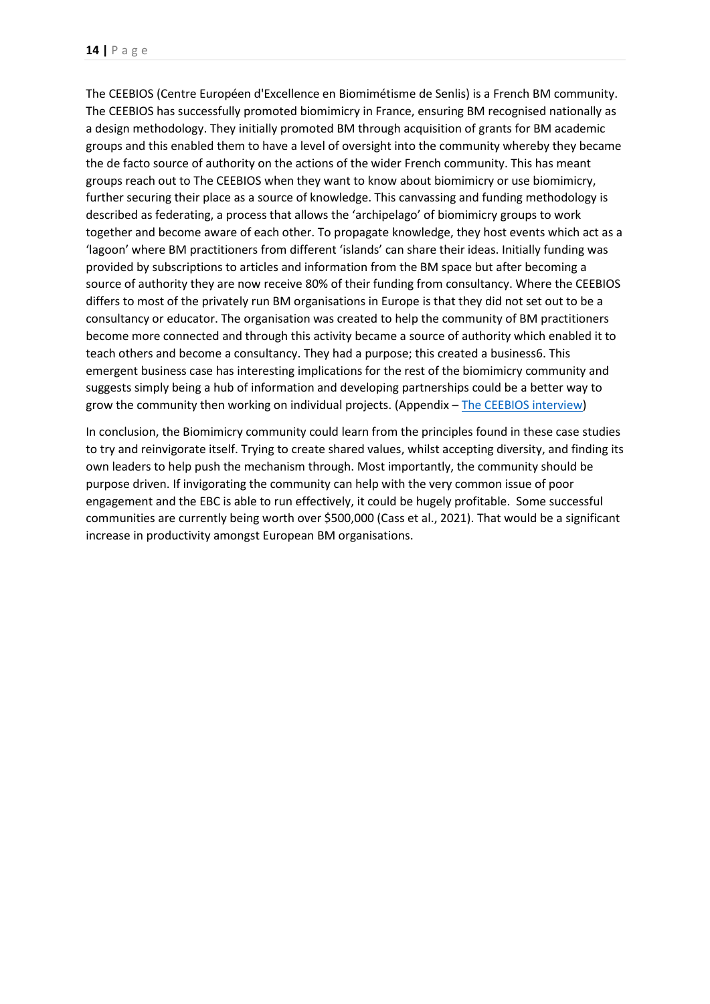The CEEBIOS (Centre Européen d'Excellence en Biomimétisme de Senlis) is a French BM community. The CEEBIOS has successfully promoted biomimicry in France, ensuring BM recognised nationally as a design methodology. They initially promoted BM through acquisition of grants for BM academic groups and this enabled them to have a level of oversight into the community whereby they became the de facto source of authority on the actions of the wider French community. This has meant groups reach out to The CEEBIOS when they want to know about biomimicry or use biomimicry, further securing their place as a source of knowledge. This canvassing and funding methodology is described as federating, a process that allows the 'archipelago' of biomimicry groups to work together and become aware of each other. To propagate knowledge, they host events which act as a 'lagoon' where BM practitioners from different 'islands' can share their ideas. Initially funding was provided by subscriptions to articles and information from the BM space but after becoming a source of authority they are now receive 80% of their funding from consultancy. Where the CEEBIOS differs to most of the privately run BM organisations in Europe is that they did not set out to be a consultancy or educator. The organisation was created to help the community of BM practitioners become more connected and through this activity became a source of authority which enabled it to teach others and become a consultancy. They had a purpose; this created a business6. This emergent business case has interesting implications for the rest of the biomimicry community and suggests simply being a hub of information and developing partnerships could be a better way to grow the community then working on individual projects. (Appendix – [The CEEBIOS interview\)](#page-26-0)

In conclusion, the Biomimicry community could learn from the principles found in these case studies to try and reinvigorate itself. Trying to create shared values, whilst accepting diversity, and finding its own leaders to help push the mechanism through. Most importantly, the community should be purpose driven. If invigorating the community can help with the very common issue of poor engagement and the EBC is able to run effectively, it could be hugely profitable. Some successful communities are currently being worth over \$500,000 (Cass et al., 2021). That would be a significant increase in productivity amongst European BM organisations.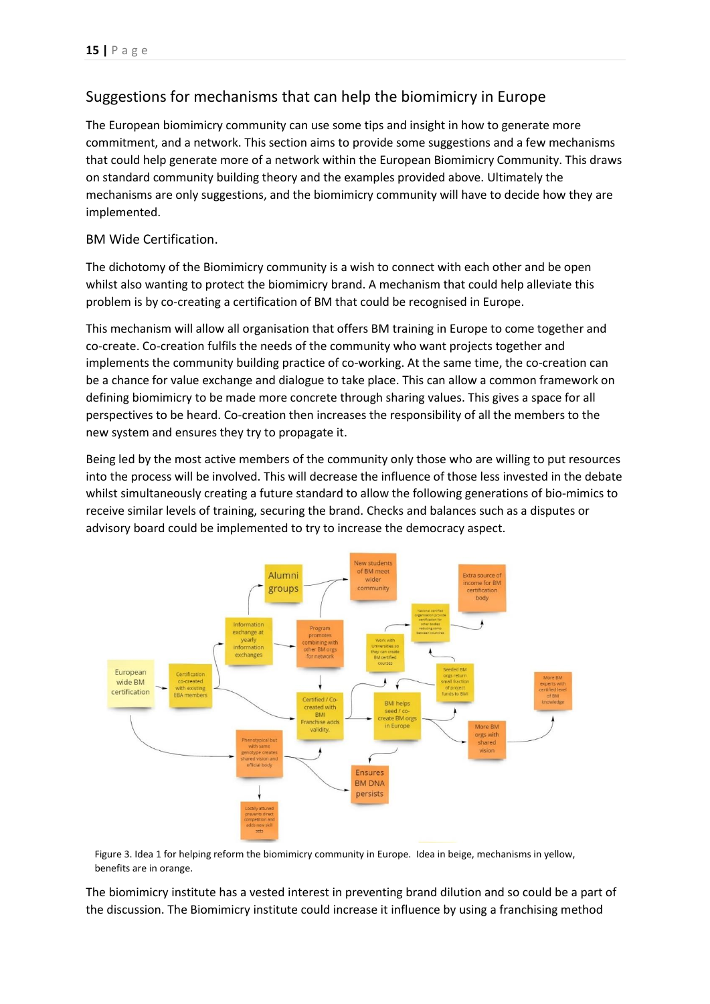# Suggestions for mechanisms that can help the biomimicry in Europe

The European biomimicry community can use some tips and insight in how to generate more commitment, and a network. This section aims to provide some suggestions and a few mechanisms that could help generate more of a network within the European Biomimicry Community. This draws on standard community building theory and the examples provided above. Ultimately the mechanisms are only suggestions, and the biomimicry community will have to decide how they are implemented.

# BM Wide Certification.

The dichotomy of the Biomimicry community is a wish to connect with each other and be open whilst also wanting to protect the biomimicry brand. A mechanism that could help alleviate this problem is by co-creating a certification of BM that could be recognised in Europe.

This mechanism will allow all organisation that offers BM training in Europe to come together and co-create. Co-creation fulfils the needs of the community who want projects together and implements the community building practice of co-working. At the same time, the co-creation can be a chance for value exchange and dialogue to take place. This can allow a common framework on defining biomimicry to be made more concrete through sharing values. This gives a space for all perspectives to be heard. Co-creation then increases the responsibility of all the members to the new system and ensures they try to propagate it.

Being led by the most active members of the community only those who are willing to put resources into the process will be involved. This will decrease the influence of those less invested in the debate whilst simultaneously creating a future standard to allow the following generations of bio-mimics to receive similar levels of training, securing the brand. Checks and balances such as a disputes or advisory board could be implemented to try to increase the democracy aspect.



Figure 3. Idea 1 for helping reform the biomimicry community in Europe. Idea in beige, mechanisms in yellow, benefits are in orange.

The biomimicry institute has a vested interest in preventing brand dilution and so could be a part of the discussion. The Biomimicry institute could increase it influence by using a franchising method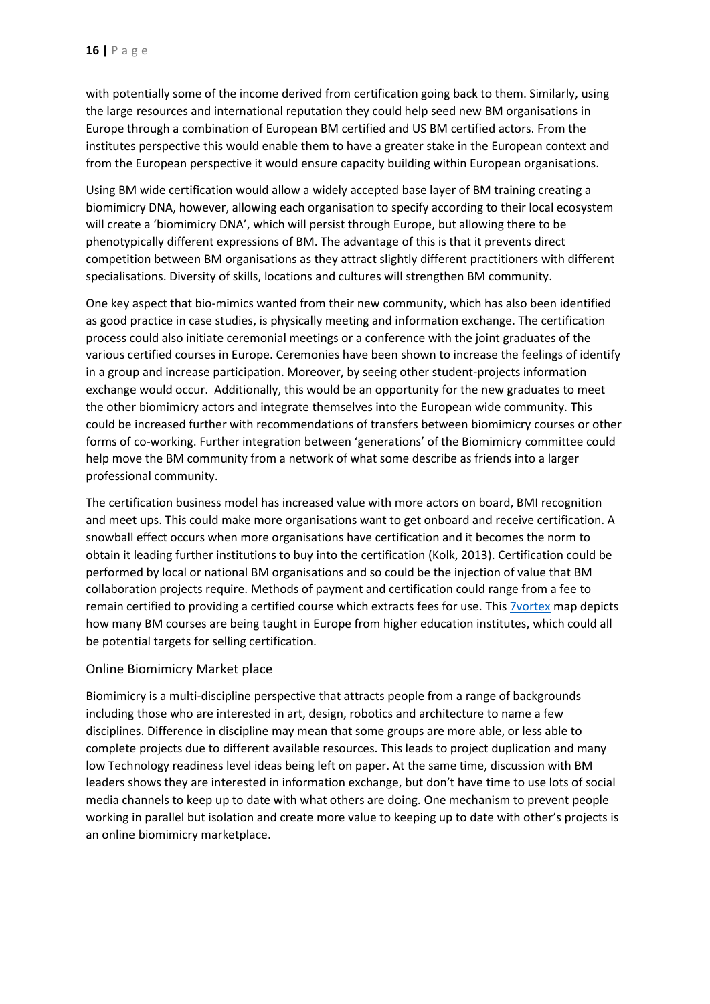with potentially some of the income derived from certification going back to them. Similarly, using the large resources and international reputation they could help seed new BM organisations in Europe through a combination of European BM certified and US BM certified actors. From the institutes perspective this would enable them to have a greater stake in the European context and from the European perspective it would ensure capacity building within European organisations.

Using BM wide certification would allow a widely accepted base layer of BM training creating a biomimicry DNA, however, allowing each organisation to specify according to their local ecosystem will create a 'biomimicry DNA', which will persist through Europe, but allowing there to be phenotypically different expressions of BM. The advantage of this is that it prevents direct competition between BM organisations as they attract slightly different practitioners with different specialisations. Diversity of skills, locations and cultures will strengthen BM community.

One key aspect that bio-mimics wanted from their new community, which has also been identified as good practice in case studies, is physically meeting and information exchange. The certification process could also initiate ceremonial meetings or a conference with the joint graduates of the various certified courses in Europe. Ceremonies have been shown to increase the feelings of identify in a group and increase participation. Moreover, by seeing other student-projects information exchange would occur. Additionally, this would be an opportunity for the new graduates to meet the other biomimicry actors and integrate themselves into the European wide community. This could be increased further with recommendations of transfers between biomimicry courses or other forms of co-working. Further integration between 'generations' of the Biomimicry committee could help move the BM community from a network of what some describe as friends into a larger professional community.

The certification business model has increased value with more actors on board, BMI recognition and meet ups. This could make more organisations want to get onboard and receive certification. A snowball effect occurs when more organisations have certification and it becomes the norm to obtain it leading further institutions to buy into the certification (Kolk, 2013). Certification could be performed by local or national BM organisations and so could be the injection of value that BM collaboration projects require. Methods of payment and certification could range from a fee to remain certified to providing a certified course which extracts fees for use. Thi[s 7vortex](https://www.7vortex.com/ecosystems/eb562d6b-4d5d-46b2-b54d-86dc60a7bffc/view) map depicts how many BM courses are being taught in Europe from higher education institutes, which could all be potential targets for selling certification.

#### Online Biomimicry Market place

Biomimicry is a multi-discipline perspective that attracts people from a range of backgrounds including those who are interested in art, design, robotics and architecture to name a few disciplines. Difference in discipline may mean that some groups are more able, or less able to complete projects due to different available resources. This leads to project duplication and many low Technology readiness level ideas being left on paper. At the same time, discussion with BM leaders shows they are interested in information exchange, but don't have time to use lots of social media channels to keep up to date with what others are doing. One mechanism to prevent people working in parallel but isolation and create more value to keeping up to date with other's projects is an online biomimicry marketplace.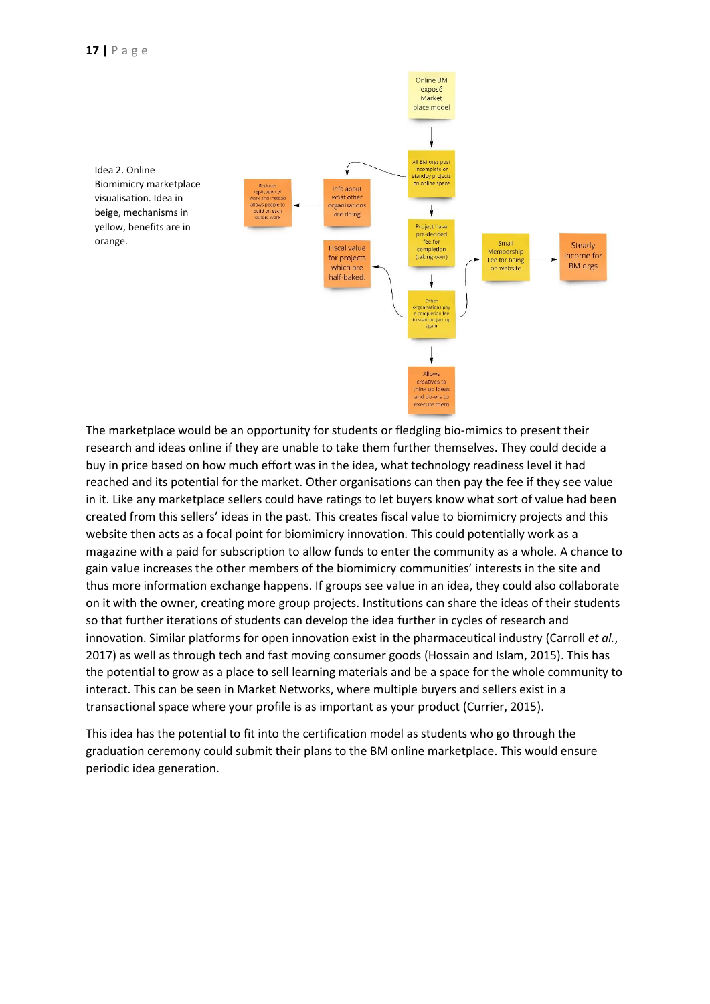

The marketplace would be an opportunity for students or fledgling bio-mimics to present their research and ideas online if they are unable to take them further themselves. They could decide a buy in price based on how much effort was in the idea, what technology readiness level it had reached and its potential for the market. Other organisations can then pay the fee if they see value in it. Like any marketplace sellers could have ratings to let buyers know what sort of value had been created from this sellers' ideas in the past. This creates fiscal value to biomimicry projects and this website then acts as a focal point for biomimicry innovation. This could potentially work as a magazine with a paid for subscription to allow funds to enter the community as a whole. A chance to gain value increases the other members of the biomimicry communities' interests in the site and thus more information exchange happens. If groups see value in an idea, they could also collaborate on it with the owner, creating more group projects. Institutions can share the ideas of their students so that further iterations of students can develop the idea further in cycles of research and innovation. Similar platforms for open innovation exist in the pharmaceutical industry (Carroll *et al.*, 2017) as well as through tech and fast moving consumer goods (Hossain and Islam, 2015). This has the potential to grow as a place to sell learning materials and be a space for the whole community to interact. This can be seen in Market Networks, where multiple buyers and sellers exist in a transactional space where your profile is as important as your product (Currier, 2015).

This idea has the potential to fit into the certification model as students who go through the graduation ceremony could submit their plans to the BM online marketplace. This would ensure periodic idea generation.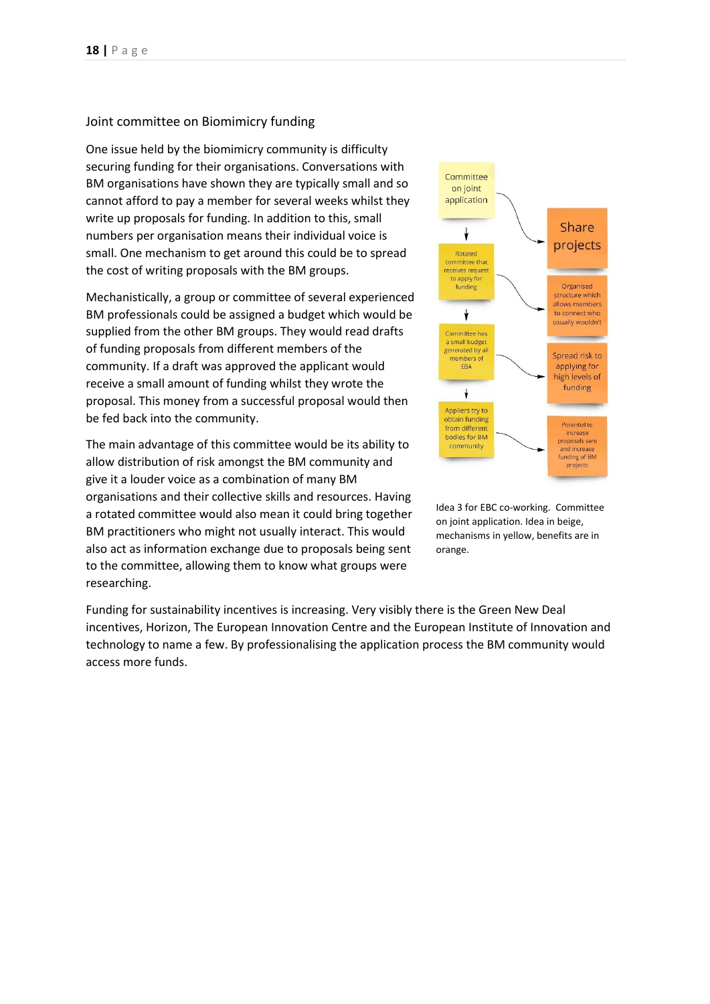#### Joint committee on Biomimicry funding

One issue held by the biomimicry community is difficulty securing funding for their organisations. Conversations with BM organisations have shown they are typically small and so cannot afford to pay a member for several weeks whilst they write up proposals for funding. In addition to this, small numbers per organisation means their individual voice is small. One mechanism to get around this could be to spread the cost of writing proposals with the BM groups.

Mechanistically, a group or committee of several experienced BM professionals could be assigned a budget which would be supplied from the other BM groups. They would read drafts of funding proposals from different members of the community. If a draft was approved the applicant would receive a small amount of funding whilst they wrote the proposal. This money from a successful proposal would then be fed back into the community.

The main advantage of this committee would be its ability to allow distribution of risk amongst the BM community and give it a louder voice as a combination of many BM organisations and their collective skills and resources. Having a rotated committee would also mean it could bring together BM practitioners who might not usually interact. This would also act as information exchange due to proposals being sent to the committee, allowing them to know what groups were researching.



Idea 3 for EBC co-working. Committee on joint application. Idea in beige, mechanisms in yellow, benefits are in orange.

Funding for sustainability incentives is increasing. Very visibly there is the Green New Deal incentives, Horizon, The European Innovation Centre and the European Institute of Innovation and technology to name a few. By professionalising the application process the BM community would access more funds.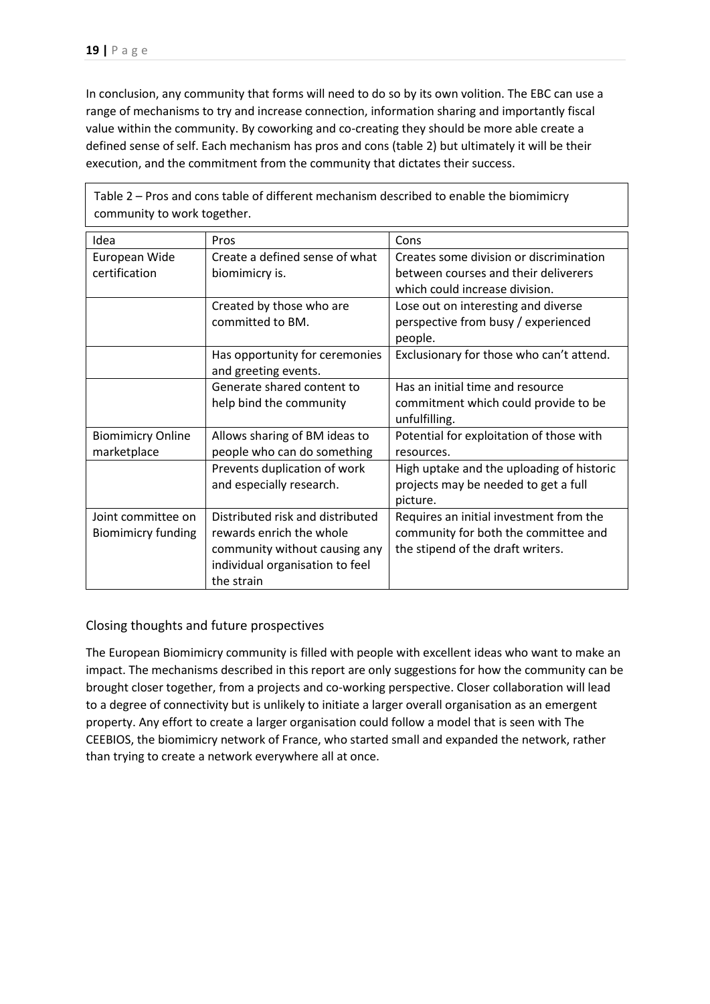In conclusion, any community that forms will need to do so by its own volition. The EBC can use a range of mechanisms to try and increase connection, information sharing and importantly fiscal value within the community. By coworking and co-creating they should be more able create a defined sense of self. Each mechanism has pros and cons (table 2) but ultimately it will be their execution, and the commitment from the community that dictates their success.

| community to work together.                     |                                                                                                                                                |                                                                                                                      |  |
|-------------------------------------------------|------------------------------------------------------------------------------------------------------------------------------------------------|----------------------------------------------------------------------------------------------------------------------|--|
| Idea                                            | Pros                                                                                                                                           | Cons                                                                                                                 |  |
| European Wide<br>certification                  | Create a defined sense of what<br>biomimicry is.                                                                                               | Creates some division or discrimination<br>between courses and their deliverers<br>which could increase division.    |  |
|                                                 | Created by those who are<br>committed to BM.                                                                                                   | Lose out on interesting and diverse<br>perspective from busy / experienced<br>people.                                |  |
|                                                 | Has opportunity for ceremonies<br>and greeting events.                                                                                         | Exclusionary for those who can't attend.                                                                             |  |
|                                                 | Generate shared content to<br>help bind the community                                                                                          | Has an initial time and resource<br>commitment which could provide to be<br>unfulfilling.                            |  |
| <b>Biomimicry Online</b><br>marketplace         | Allows sharing of BM ideas to<br>people who can do something                                                                                   | Potential for exploitation of those with<br>resources.                                                               |  |
|                                                 | Prevents duplication of work<br>and especially research.                                                                                       | High uptake and the uploading of historic<br>projects may be needed to get a full<br>picture.                        |  |
| Joint committee on<br><b>Biomimicry funding</b> | Distributed risk and distributed<br>rewards enrich the whole<br>community without causing any<br>individual organisation to feel<br>the strain | Requires an initial investment from the<br>community for both the committee and<br>the stipend of the draft writers. |  |

Table 2 – Pros and cons table of different mechanism described to enable the biomimicry community to work together.

## Closing thoughts and future prospectives

The European Biomimicry community is filled with people with excellent ideas who want to make an impact. The mechanisms described in this report are only suggestions for how the community can be brought closer together, from a projects and co-working perspective. Closer collaboration will lead to a degree of connectivity but is unlikely to initiate a larger overall organisation as an emergent property. Any effort to create a larger organisation could follow a model that is seen with The CEEBIOS, the biomimicry network of France, who started small and expanded the network, rather than trying to create a network everywhere all at once.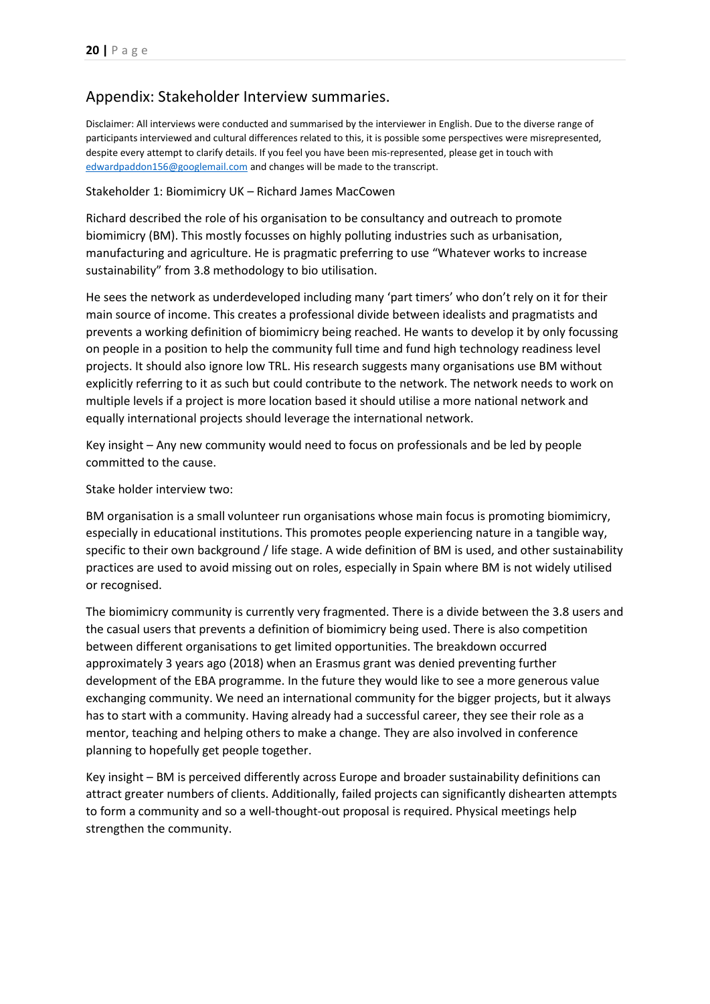# Appendix: Stakeholder Interview summaries.

Disclaimer: All interviews were conducted and summarised by the interviewer in English. Due to the diverse range of participants interviewed and cultural differences related to this, it is possible some perspectives were misrepresented, despite every attempt to clarify details. If you feel you have been mis-represented, please get in touch with [edwardpaddon156@googlemail.com](mailto:edwardpaddon156@googlemail.com) and changes will be made to the transcript.

#### Stakeholder 1: Biomimicry UK – Richard James MacCowen

Richard described the role of his organisation to be consultancy and outreach to promote biomimicry (BM). This mostly focusses on highly polluting industries such as urbanisation, manufacturing and agriculture. He is pragmatic preferring to use "Whatever works to increase sustainability" from 3.8 methodology to bio utilisation.

He sees the network as underdeveloped including many 'part timers' who don't rely on it for their main source of income. This creates a professional divide between idealists and pragmatists and prevents a working definition of biomimicry being reached. He wants to develop it by only focussing on people in a position to help the community full time and fund high technology readiness level projects. It should also ignore low TRL. His research suggests many organisations use BM without explicitly referring to it as such but could contribute to the network. The network needs to work on multiple levels if a project is more location based it should utilise a more national network and equally international projects should leverage the international network.

Key insight – Any new community would need to focus on professionals and be led by people committed to the cause.

Stake holder interview two:

BM organisation is a small volunteer run organisations whose main focus is promoting biomimicry, especially in educational institutions. This promotes people experiencing nature in a tangible way, specific to their own background / life stage. A wide definition of BM is used, and other sustainability practices are used to avoid missing out on roles, especially in Spain where BM is not widely utilised or recognised.

The biomimicry community is currently very fragmented. There is a divide between the 3.8 users and the casual users that prevents a definition of biomimicry being used. There is also competition between different organisations to get limited opportunities. The breakdown occurred approximately 3 years ago (2018) when an Erasmus grant was denied preventing further development of the EBA programme. In the future they would like to see a more generous value exchanging community. We need an international community for the bigger projects, but it always has to start with a community. Having already had a successful career, they see their role as a mentor, teaching and helping others to make a change. They are also involved in conference planning to hopefully get people together.

Key insight – BM is perceived differently across Europe and broader sustainability definitions can attract greater numbers of clients. Additionally, failed projects can significantly dishearten attempts to form a community and so a well-thought-out proposal is required. Physical meetings help strengthen the community.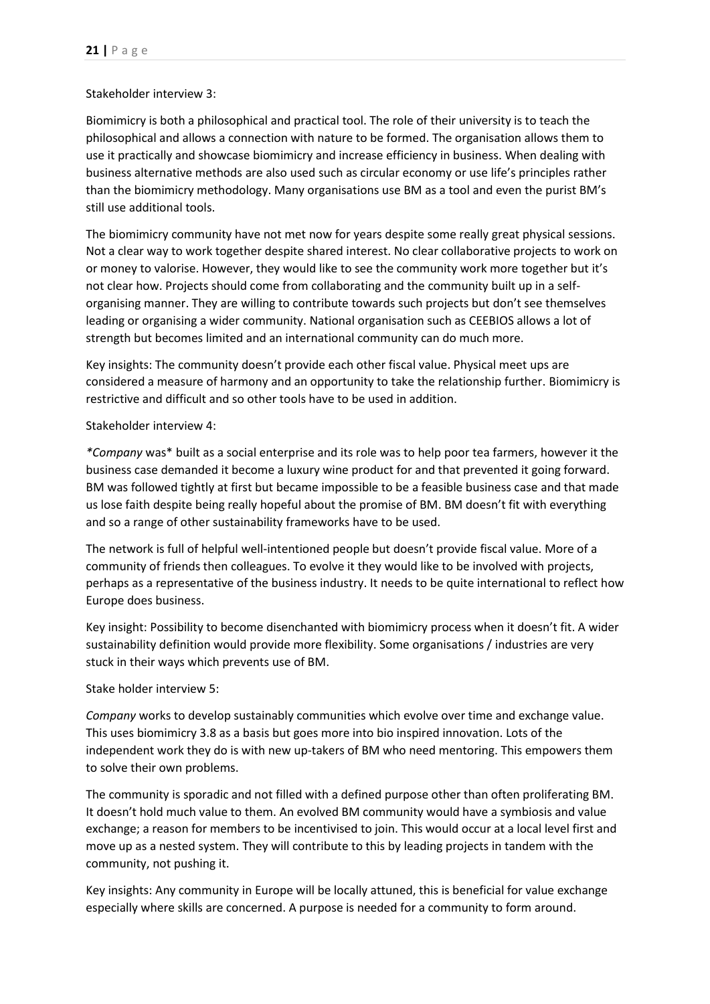## Stakeholder interview 3:

Biomimicry is both a philosophical and practical tool. The role of their university is to teach the philosophical and allows a connection with nature to be formed. The organisation allows them to use it practically and showcase biomimicry and increase efficiency in business. When dealing with business alternative methods are also used such as circular economy or use life's principles rather than the biomimicry methodology. Many organisations use BM as a tool and even the purist BM's still use additional tools.

The biomimicry community have not met now for years despite some really great physical sessions. Not a clear way to work together despite shared interest. No clear collaborative projects to work on or money to valorise. However, they would like to see the community work more together but it's not clear how. Projects should come from collaborating and the community built up in a selforganising manner. They are willing to contribute towards such projects but don't see themselves leading or organising a wider community. National organisation such as CEEBIOS allows a lot of strength but becomes limited and an international community can do much more.

Key insights: The community doesn't provide each other fiscal value. Physical meet ups are considered a measure of harmony and an opportunity to take the relationship further. Biomimicry is restrictive and difficult and so other tools have to be used in addition.

## Stakeholder interview 4:

*\*Company* was\* built as a social enterprise and its role was to help poor tea farmers, however it the business case demanded it become a luxury wine product for and that prevented it going forward. BM was followed tightly at first but became impossible to be a feasible business case and that made us lose faith despite being really hopeful about the promise of BM. BM doesn't fit with everything and so a range of other sustainability frameworks have to be used.

The network is full of helpful well-intentioned people but doesn't provide fiscal value. More of a community of friends then colleagues. To evolve it they would like to be involved with projects, perhaps as a representative of the business industry. It needs to be quite international to reflect how Europe does business.

Key insight: Possibility to become disenchanted with biomimicry process when it doesn't fit. A wider sustainability definition would provide more flexibility. Some organisations / industries are very stuck in their ways which prevents use of BM.

## Stake holder interview 5:

*Company* works to develop sustainably communities which evolve over time and exchange value. This uses biomimicry 3.8 as a basis but goes more into bio inspired innovation. Lots of the independent work they do is with new up-takers of BM who need mentoring. This empowers them to solve their own problems.

The community is sporadic and not filled with a defined purpose other than often proliferating BM. It doesn't hold much value to them. An evolved BM community would have a symbiosis and value exchange; a reason for members to be incentivised to join. This would occur at a local level first and move up as a nested system. They will contribute to this by leading projects in tandem with the community, not pushing it.

Key insights: Any community in Europe will be locally attuned, this is beneficial for value exchange especially where skills are concerned. A purpose is needed for a community to form around.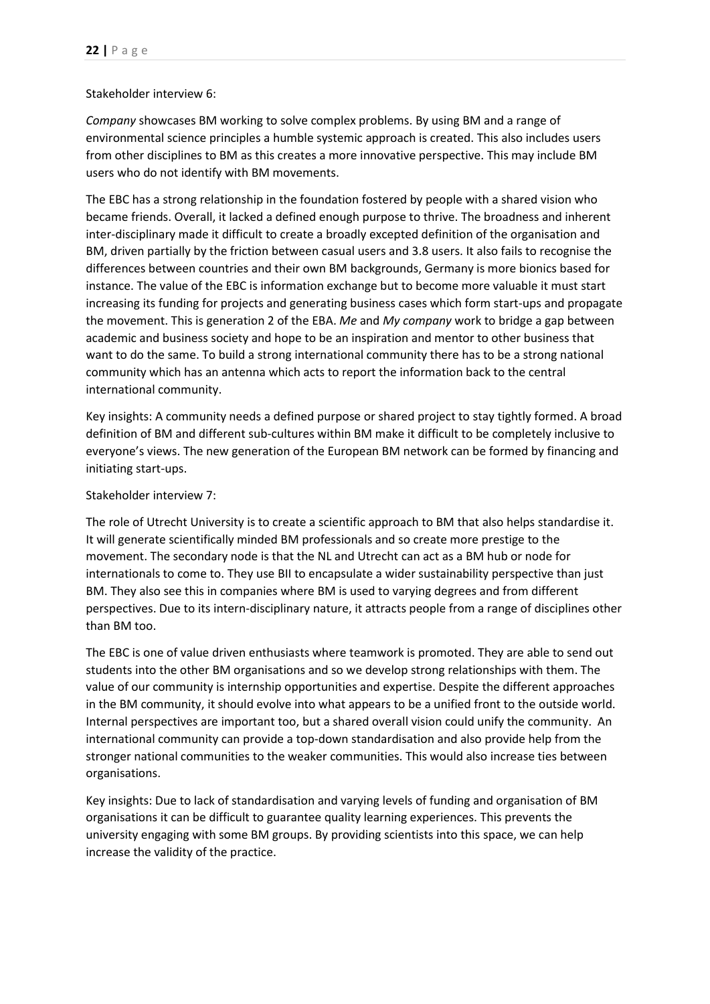#### Stakeholder interview 6:

*Company* showcases BM working to solve complex problems. By using BM and a range of environmental science principles a humble systemic approach is created. This also includes users from other disciplines to BM as this creates a more innovative perspective. This may include BM users who do not identify with BM movements.

The EBC has a strong relationship in the foundation fostered by people with a shared vision who became friends. Overall, it lacked a defined enough purpose to thrive. The broadness and inherent inter-disciplinary made it difficult to create a broadly excepted definition of the organisation and BM, driven partially by the friction between casual users and 3.8 users. It also fails to recognise the differences between countries and their own BM backgrounds, Germany is more bionics based for instance. The value of the EBC is information exchange but to become more valuable it must start increasing its funding for projects and generating business cases which form start-ups and propagate the movement. This is generation 2 of the EBA. *Me* and *My company* work to bridge a gap between academic and business society and hope to be an inspiration and mentor to other business that want to do the same. To build a strong international community there has to be a strong national community which has an antenna which acts to report the information back to the central international community.

Key insights: A community needs a defined purpose or shared project to stay tightly formed. A broad definition of BM and different sub-cultures within BM make it difficult to be completely inclusive to everyone's views. The new generation of the European BM network can be formed by financing and initiating start-ups.

## Stakeholder interview 7:

The role of Utrecht University is to create a scientific approach to BM that also helps standardise it. It will generate scientifically minded BM professionals and so create more prestige to the movement. The secondary node is that the NL and Utrecht can act as a BM hub or node for internationals to come to. They use BII to encapsulate a wider sustainability perspective than just BM. They also see this in companies where BM is used to varying degrees and from different perspectives. Due to its intern-disciplinary nature, it attracts people from a range of disciplines other than BM too.

The EBC is one of value driven enthusiasts where teamwork is promoted. They are able to send out students into the other BM organisations and so we develop strong relationships with them. The value of our community is internship opportunities and expertise. Despite the different approaches in the BM community, it should evolve into what appears to be a unified front to the outside world. Internal perspectives are important too, but a shared overall vision could unify the community. An international community can provide a top-down standardisation and also provide help from the stronger national communities to the weaker communities. This would also increase ties between organisations.

Key insights: Due to lack of standardisation and varying levels of funding and organisation of BM organisations it can be difficult to guarantee quality learning experiences. This prevents the university engaging with some BM groups. By providing scientists into this space, we can help increase the validity of the practice.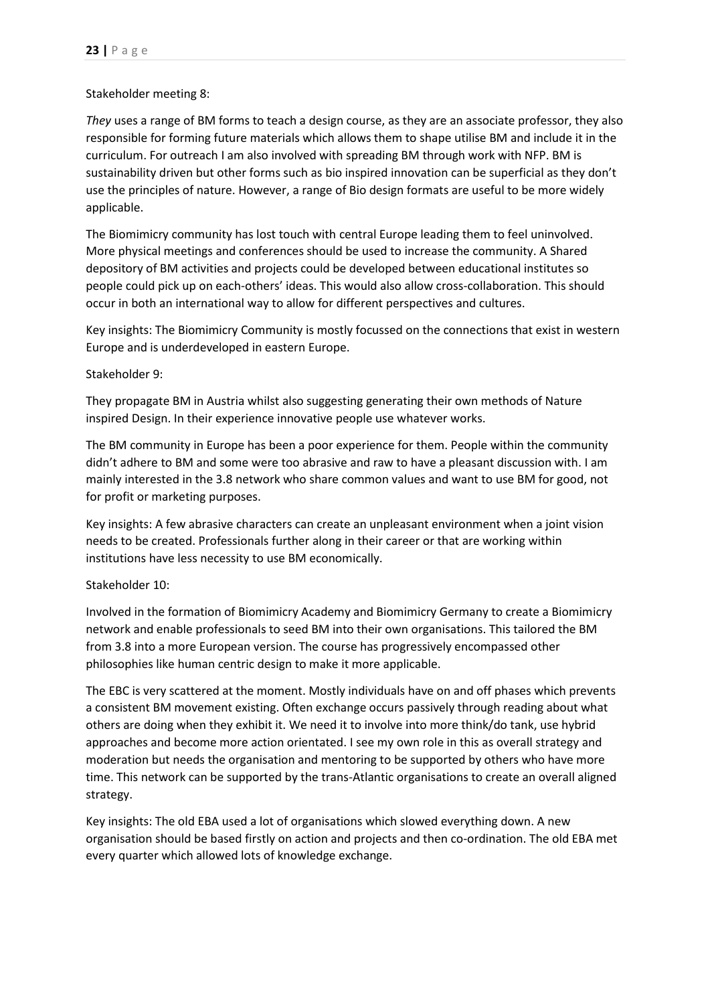#### Stakeholder meeting 8:

*They* uses a range of BM forms to teach a design course, as they are an associate professor, they also responsible for forming future materials which allows them to shape utilise BM and include it in the curriculum. For outreach I am also involved with spreading BM through work with NFP. BM is sustainability driven but other forms such as bio inspired innovation can be superficial as they don't use the principles of nature. However, a range of Bio design formats are useful to be more widely applicable.

The Biomimicry community has lost touch with central Europe leading them to feel uninvolved. More physical meetings and conferences should be used to increase the community. A Shared depository of BM activities and projects could be developed between educational institutes so people could pick up on each-others' ideas. This would also allow cross-collaboration. This should occur in both an international way to allow for different perspectives and cultures.

Key insights: The Biomimicry Community is mostly focussed on the connections that exist in western Europe and is underdeveloped in eastern Europe.

#### Stakeholder 9:

They propagate BM in Austria whilst also suggesting generating their own methods of Nature inspired Design. In their experience innovative people use whatever works.

The BM community in Europe has been a poor experience for them. People within the community didn't adhere to BM and some were too abrasive and raw to have a pleasant discussion with. I am mainly interested in the 3.8 network who share common values and want to use BM for good, not for profit or marketing purposes.

Key insights: A few abrasive characters can create an unpleasant environment when a joint vision needs to be created. Professionals further along in their career or that are working within institutions have less necessity to use BM economically.

#### Stakeholder 10:

Involved in the formation of Biomimicry Academy and Biomimicry Germany to create a Biomimicry network and enable professionals to seed BM into their own organisations. This tailored the BM from 3.8 into a more European version. The course has progressively encompassed other philosophies like human centric design to make it more applicable.

The EBC is very scattered at the moment. Mostly individuals have on and off phases which prevents a consistent BM movement existing. Often exchange occurs passively through reading about what others are doing when they exhibit it. We need it to involve into more think/do tank, use hybrid approaches and become more action orientated. I see my own role in this as overall strategy and moderation but needs the organisation and mentoring to be supported by others who have more time. This network can be supported by the trans-Atlantic organisations to create an overall aligned strategy.

Key insights: The old EBA used a lot of organisations which slowed everything down. A new organisation should be based firstly on action and projects and then co-ordination. The old EBA met every quarter which allowed lots of knowledge exchange.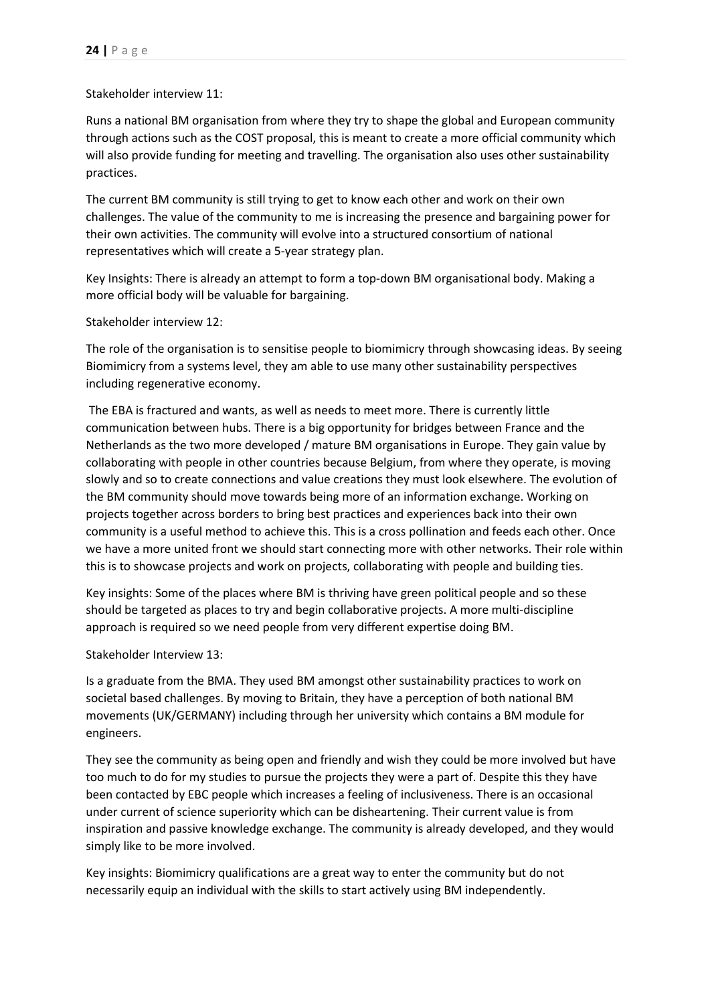#### Stakeholder interview 11:

Runs a national BM organisation from where they try to shape the global and European community through actions such as the COST proposal, this is meant to create a more official community which will also provide funding for meeting and travelling. The organisation also uses other sustainability practices.

The current BM community is still trying to get to know each other and work on their own challenges. The value of the community to me is increasing the presence and bargaining power for their own activities. The community will evolve into a structured consortium of national representatives which will create a 5-year strategy plan.

Key Insights: There is already an attempt to form a top-down BM organisational body. Making a more official body will be valuable for bargaining.

Stakeholder interview 12:

The role of the organisation is to sensitise people to biomimicry through showcasing ideas. By seeing Biomimicry from a systems level, they am able to use many other sustainability perspectives including regenerative economy.

The EBA is fractured and wants, as well as needs to meet more. There is currently little communication between hubs. There is a big opportunity for bridges between France and the Netherlands as the two more developed / mature BM organisations in Europe. They gain value by collaborating with people in other countries because Belgium, from where they operate, is moving slowly and so to create connections and value creations they must look elsewhere. The evolution of the BM community should move towards being more of an information exchange. Working on projects together across borders to bring best practices and experiences back into their own community is a useful method to achieve this. This is a cross pollination and feeds each other. Once we have a more united front we should start connecting more with other networks. Their role within this is to showcase projects and work on projects, collaborating with people and building ties.

Key insights: Some of the places where BM is thriving have green political people and so these should be targeted as places to try and begin collaborative projects. A more multi-discipline approach is required so we need people from very different expertise doing BM.

Stakeholder Interview 13:

Is a graduate from the BMA. They used BM amongst other sustainability practices to work on societal based challenges. By moving to Britain, they have a perception of both national BM movements (UK/GERMANY) including through her university which contains a BM module for engineers.

They see the community as being open and friendly and wish they could be more involved but have too much to do for my studies to pursue the projects they were a part of. Despite this they have been contacted by EBC people which increases a feeling of inclusiveness. There is an occasional under current of science superiority which can be disheartening. Their current value is from inspiration and passive knowledge exchange. The community is already developed, and they would simply like to be more involved.

Key insights: Biomimicry qualifications are a great way to enter the community but do not necessarily equip an individual with the skills to start actively using BM independently.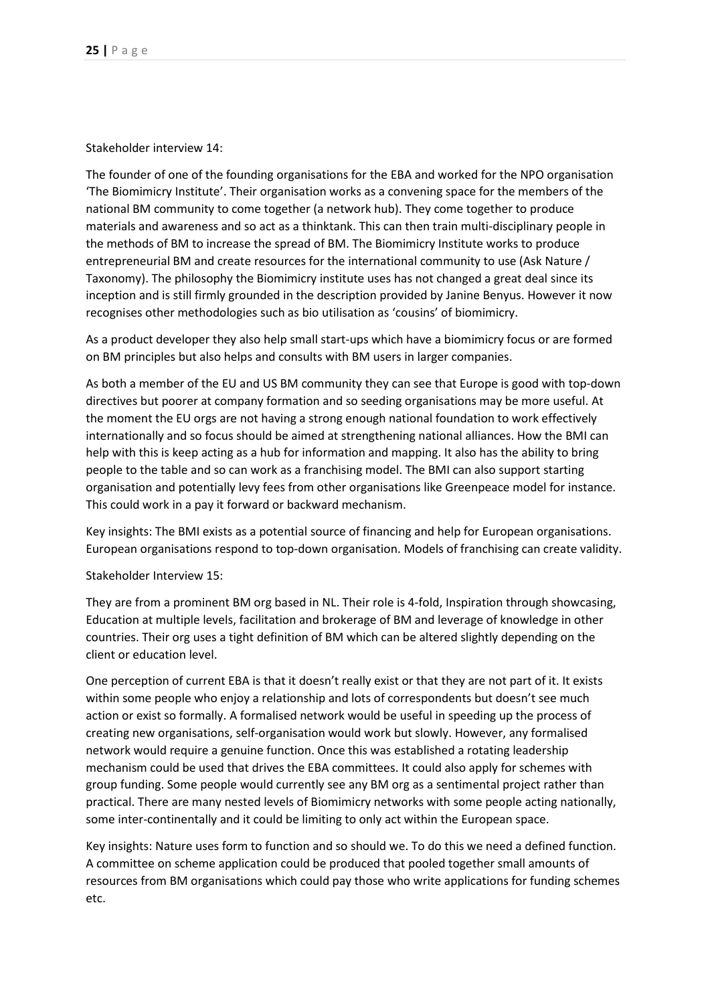Stakeholder interview 14:

The founder of one of the founding organisations for the EBA and worked for the NPO organisation 'The Biomimicry Institute'. Their organisation works as a convening space for the members of the national BM community to come together (a network hub). They come together to produce materials and awareness and so act as a thinktank. This can then train multi-disciplinary people in the methods of BM to increase the spread of BM. The Biomimicry Institute works to produce entrepreneurial BM and create resources for the international community to use (Ask Nature / Taxonomy). The philosophy the Biomimicry institute uses has not changed a great deal since its inception and is still firmly grounded in the description provided by Janine Benyus. However it now recognises other methodologies such as bio utilisation as 'cousins' of biomimicry.

As a product developer they also help small start-ups which have a biomimicry focus or are formed on BM principles but also helps and consults with BM users in larger companies.

As both a member of the EU and US BM community they can see that Europe is good with top-down directives but poorer at company formation and so seeding organisations may be more useful. At the moment the EU orgs are not having a strong enough national foundation to work effectively internationally and so focus should be aimed at strengthening national alliances. How the BMI can help with this is keep acting as a hub for information and mapping. It also has the ability to bring people to the table and so can work as a franchising model. The BMI can also support starting organisation and potentially levy fees from other organisations like Greenpeace model for instance. This could work in a pay it forward or backward mechanism.

Key insights: The BMI exists as a potential source of financing and help for European organisations. European organisations respond to top-down organisation. Models of franchising can create validity.

Stakeholder Interview 15:

They are from a prominent BM org based in NL. Their role is 4-fold, Inspiration through showcasing, Education at multiple levels, facilitation and brokerage of BM and leverage of knowledge in other countries. Their org uses a tight definition of BM which can be altered slightly depending on the client or education level.

One perception of current EBA is that it doesn't really exist or that they are not part of it. It exists within some people who enjoy a relationship and lots of correspondents but doesn't see much action or exist so formally. A formalised network would be useful in speeding up the process of creating new organisations, self-organisation would work but slowly. However, any formalised network would require a genuine function. Once this was established a rotating leadership mechanism could be used that drives the EBA committees. It could also apply for schemes with group funding. Some people would currently see any BM org as a sentimental project rather than practical. There are many nested levels of Biomimicry networks with some people acting nationally, some inter-continentally and it could be limiting to only act within the European space.

Key insights: Nature uses form to function and so should we. To do this we need a defined function. A committee on scheme application could be produced that pooled together small amounts of resources from BM organisations which could pay those who write applications for funding schemes etc.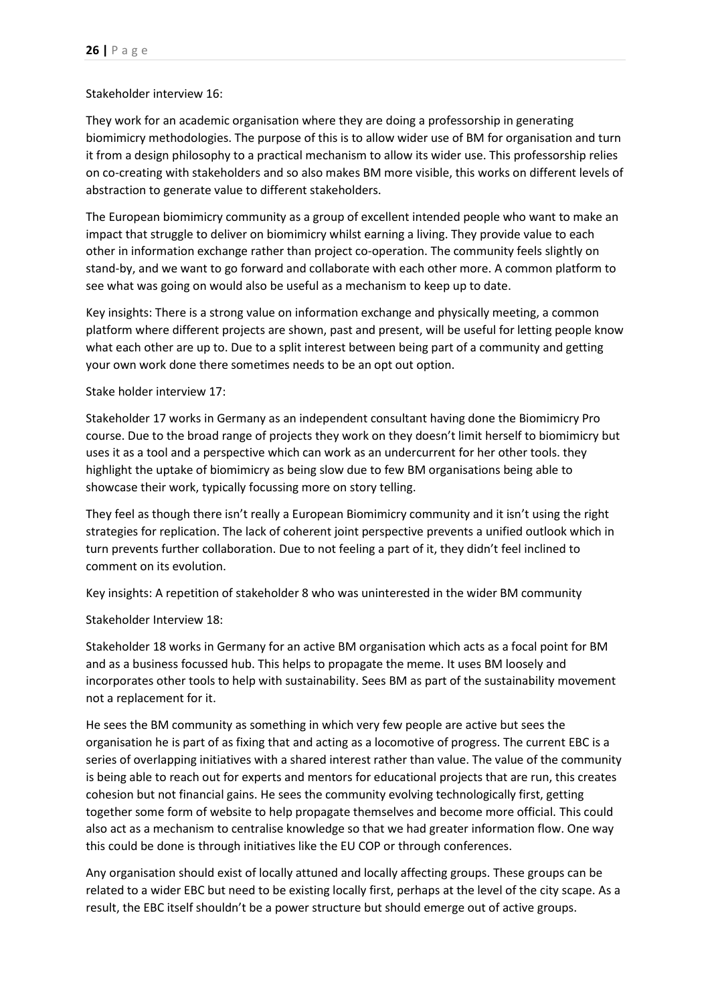#### Stakeholder interview 16:

They work for an academic organisation where they are doing a professorship in generating biomimicry methodologies. The purpose of this is to allow wider use of BM for organisation and turn it from a design philosophy to a practical mechanism to allow its wider use. This professorship relies on co-creating with stakeholders and so also makes BM more visible, this works on different levels of abstraction to generate value to different stakeholders.

The European biomimicry community as a group of excellent intended people who want to make an impact that struggle to deliver on biomimicry whilst earning a living. They provide value to each other in information exchange rather than project co-operation. The community feels slightly on stand-by, and we want to go forward and collaborate with each other more. A common platform to see what was going on would also be useful as a mechanism to keep up to date.

Key insights: There is a strong value on information exchange and physically meeting, a common platform where different projects are shown, past and present, will be useful for letting people know what each other are up to. Due to a split interest between being part of a community and getting your own work done there sometimes needs to be an opt out option.

Stake holder interview 17:

Stakeholder 17 works in Germany as an independent consultant having done the Biomimicry Pro course. Due to the broad range of projects they work on they doesn't limit herself to biomimicry but uses it as a tool and a perspective which can work as an undercurrent for her other tools. they highlight the uptake of biomimicry as being slow due to few BM organisations being able to showcase their work, typically focussing more on story telling.

They feel as though there isn't really a European Biomimicry community and it isn't using the right strategies for replication. The lack of coherent joint perspective prevents a unified outlook which in turn prevents further collaboration. Due to not feeling a part of it, they didn't feel inclined to comment on its evolution.

Key insights: A repetition of stakeholder 8 who was uninterested in the wider BM community

Stakeholder Interview 18:

Stakeholder 18 works in Germany for an active BM organisation which acts as a focal point for BM and as a business focussed hub. This helps to propagate the meme. It uses BM loosely and incorporates other tools to help with sustainability. Sees BM as part of the sustainability movement not a replacement for it.

He sees the BM community as something in which very few people are active but sees the organisation he is part of as fixing that and acting as a locomotive of progress. The current EBC is a series of overlapping initiatives with a shared interest rather than value. The value of the community is being able to reach out for experts and mentors for educational projects that are run, this creates cohesion but not financial gains. He sees the community evolving technologically first, getting together some form of website to help propagate themselves and become more official. This could also act as a mechanism to centralise knowledge so that we had greater information flow. One way this could be done is through initiatives like the EU COP or through conferences.

Any organisation should exist of locally attuned and locally affecting groups. These groups can be related to a wider EBC but need to be existing locally first, perhaps at the level of the city scape. As a result, the EBC itself shouldn't be a power structure but should emerge out of active groups.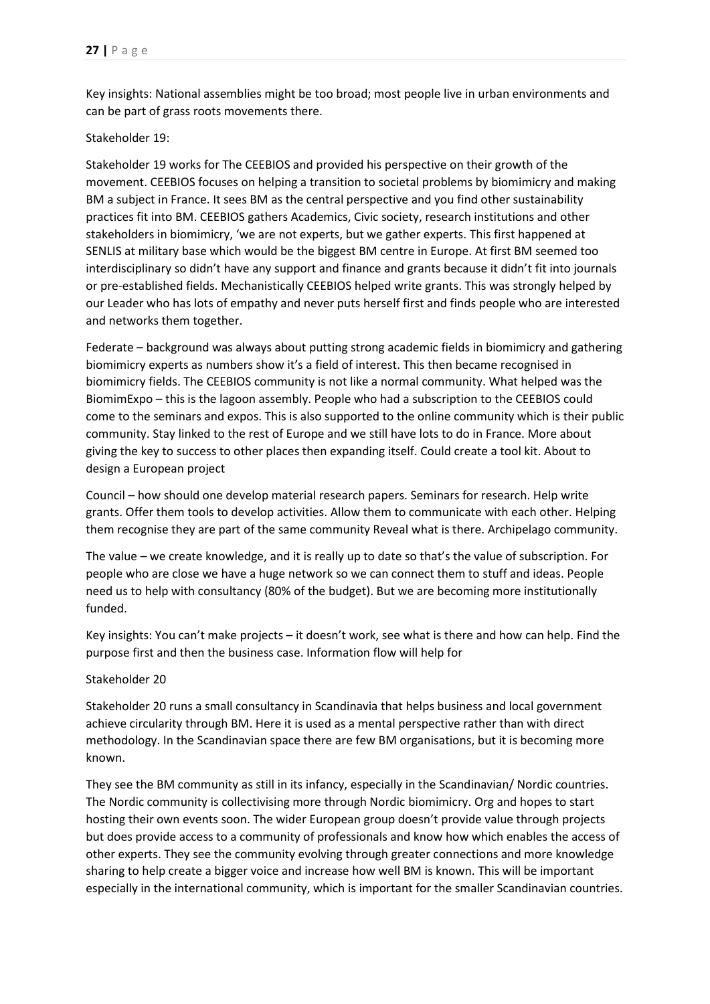Key insights: National assemblies might be too broad; most people live in urban environments and can be part of grass roots movements there.

### <span id="page-26-0"></span>Stakeholder 19:

Stakeholder 19 works for The CEEBIOS and provided his perspective on their growth of the movement. CEEBIOS focuses on helping a transition to societal problems by biomimicry and making BM a subject in France. It sees BM as the central perspective and you find other sustainability practices fit into BM. CEEBIOS gathers Academics, Civic society, research institutions and other stakeholders in biomimicry, 'we are not experts, but we gather experts. This first happened at SENLIS at military base which would be the biggest BM centre in Europe. At first BM seemed too interdisciplinary so didn't have any support and finance and grants because it didn't fit into journals or pre-established fields. Mechanistically CEEBIOS helped write grants. This was strongly helped by our Leader who has lots of empathy and never puts herself first and finds people who are interested and networks them together.

Federate – background was always about putting strong academic fields in biomimicry and gathering biomimicry experts as numbers show it's a field of interest. This then became recognised in biomimicry fields. The CEEBIOS community is not like a normal community. What helped was the BiomimExpo – this is the lagoon assembly. People who had a subscription to the CEEBIOS could come to the seminars and expos. This is also supported to the online community which is their public community. Stay linked to the rest of Europe and we still have lots to do in France. More about giving the key to success to other places then expanding itself. Could create a tool kit. About to design a European project

Council – how should one develop material research papers. Seminars for research. Help write grants. Offer them tools to develop activities. Allow them to communicate with each other. Helping them recognise they are part of the same community Reveal what is there. Archipelago community.

The value – we create knowledge, and it is really up to date so that's the value of subscription. For people who are close we have a huge network so we can connect them to stuff and ideas. People need us to help with consultancy (80% of the budget). But we are becoming more institutionally funded.

Key insights: You can't make projects – it doesn't work, see what is there and how can help. Find the purpose first and then the business case. Information flow will help for

## Stakeholder 20

Stakeholder 20 runs a small consultancy in Scandinavia that helps business and local government achieve circularity through BM. Here it is used as a mental perspective rather than with direct methodology. In the Scandinavian space there are few BM organisations, but it is becoming more known.

They see the BM community as still in its infancy, especially in the Scandinavian/ Nordic countries. The Nordic community is collectivising more through Nordic biomimicry. Org and hopes to start hosting their own events soon. The wider European group doesn't provide value through projects but does provide access to a community of professionals and know how which enables the access of other experts. They see the community evolving through greater connections and more knowledge sharing to help create a bigger voice and increase how well BM is known. This will be important especially in the international community, which is important for the smaller Scandinavian countries.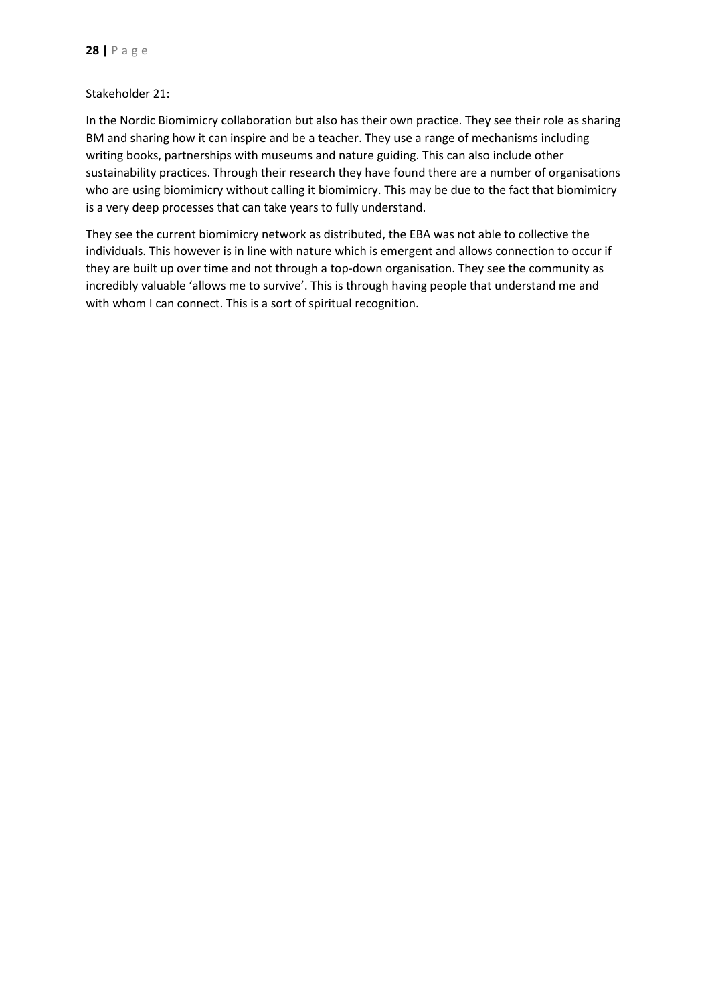#### Stakeholder 21:

In the Nordic Biomimicry collaboration but also has their own practice. They see their role as sharing BM and sharing how it can inspire and be a teacher. They use a range of mechanisms including writing books, partnerships with museums and nature guiding. This can also include other sustainability practices. Through their research they have found there are a number of organisations who are using biomimicry without calling it biomimicry. This may be due to the fact that biomimicry is a very deep processes that can take years to fully understand.

They see the current biomimicry network as distributed, the EBA was not able to collective the individuals. This however is in line with nature which is emergent and allows connection to occur if they are built up over time and not through a top-down organisation. They see the community as incredibly valuable 'allows me to survive'. This is through having people that understand me and with whom I can connect. This is a sort of spiritual recognition.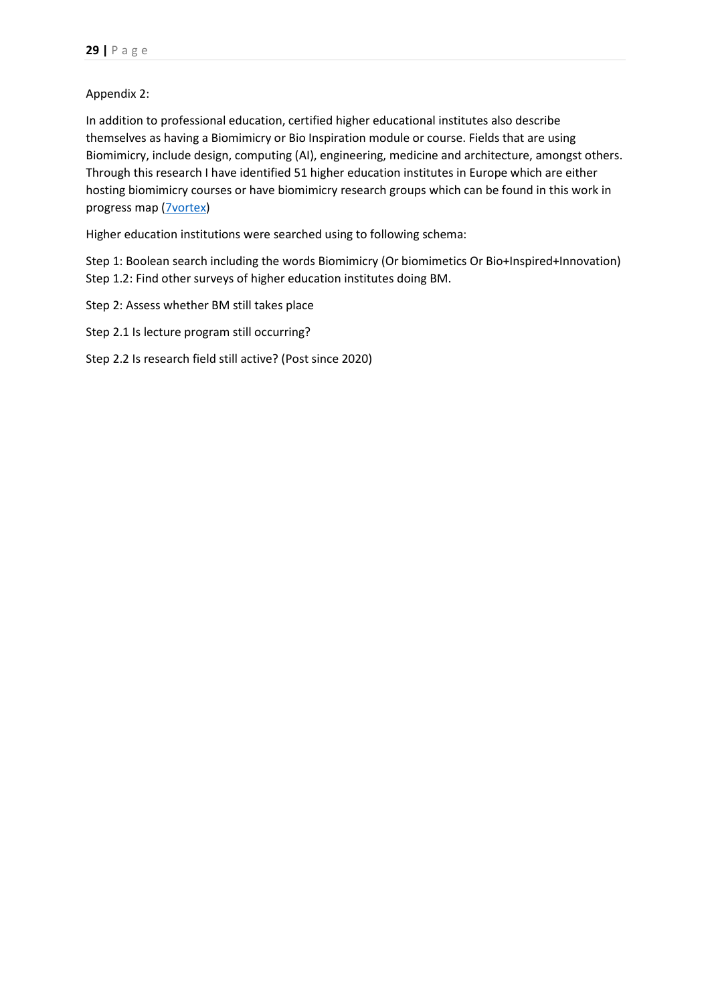# Appendix 2:

In addition to professional education, certified higher educational institutes also describe themselves as having a Biomimicry or Bio Inspiration module or course. Fields that are using Biomimicry, include design, computing (AI), engineering, medicine and architecture, amongst others. Through this research I have identified 51 higher education institutes in Europe which are either hosting biomimicry courses or have biomimicry research groups which can be found in this work in progress map (**7vortex**)

Higher education institutions were searched using to following schema:

Step 1: Boolean search including the words Biomimicry (Or biomimetics Or Bio+Inspired+Innovation) Step 1.2: Find other surveys of higher education institutes doing BM.

- Step 2: Assess whether BM still takes place
- Step 2.1 Is lecture program still occurring?
- Step 2.2 Is research field still active? (Post since 2020)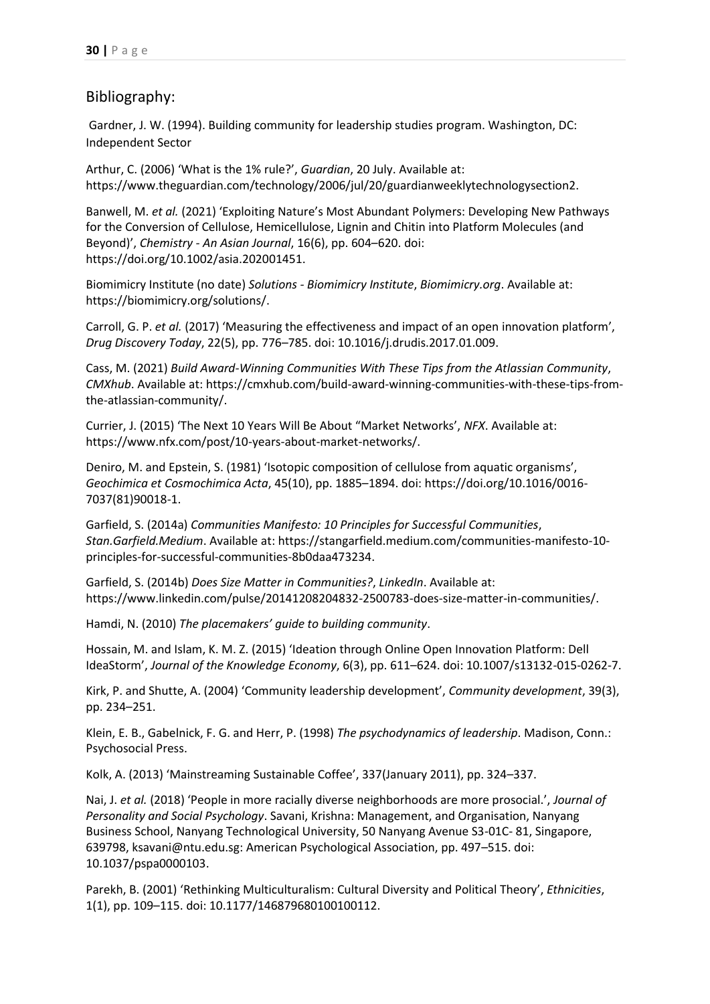# Bibliography:

Gardner, J. W. (1994). Building community for leadership studies program. Washington, DC: Independent Sector

Arthur, C. (2006) 'What is the 1% rule?', *Guardian*, 20 July. Available at: https://www.theguardian.com/technology/2006/jul/20/guardianweeklytechnologysection2.

Banwell, M. *et al.* (2021) 'Exploiting Nature's Most Abundant Polymers: Developing New Pathways for the Conversion of Cellulose, Hemicellulose, Lignin and Chitin into Platform Molecules (and Beyond)', *Chemistry - An Asian Journal*, 16(6), pp. 604–620. doi: https://doi.org/10.1002/asia.202001451.

Biomimicry Institute (no date) *Solutions - Biomimicry Institute*, *Biomimicry.org*. Available at: https://biomimicry.org/solutions/.

Carroll, G. P. *et al.* (2017) 'Measuring the effectiveness and impact of an open innovation platform', *Drug Discovery Today*, 22(5), pp. 776–785. doi: 10.1016/j.drudis.2017.01.009.

Cass, M. (2021) *Build Award-Winning Communities With These Tips from the Atlassian Community*, *CMXhub*. Available at: https://cmxhub.com/build-award-winning-communities-with-these-tips-fromthe-atlassian-community/.

Currier, J. (2015) 'The Next 10 Years Will Be About "Market Networks', *NFX*. Available at: https://www.nfx.com/post/10-years-about-market-networks/.

Deniro, M. and Epstein, S. (1981) 'Isotopic composition of cellulose from aquatic organisms', *Geochimica et Cosmochimica Acta*, 45(10), pp. 1885–1894. doi: https://doi.org/10.1016/0016- 7037(81)90018-1.

Garfield, S. (2014a) *Communities Manifesto: 10 Principles for Successful Communities*, *Stan.Garfield.Medium*. Available at: https://stangarfield.medium.com/communities-manifesto-10 principles-for-successful-communities-8b0daa473234.

Garfield, S. (2014b) *Does Size Matter in Communities?*, *LinkedIn*. Available at: https://www.linkedin.com/pulse/20141208204832-2500783-does-size-matter-in-communities/.

Hamdi, N. (2010) *The placemakers' guide to building community*.

Hossain, M. and Islam, K. M. Z. (2015) 'Ideation through Online Open Innovation Platform: Dell IdeaStorm', *Journal of the Knowledge Economy*, 6(3), pp. 611–624. doi: 10.1007/s13132-015-0262-7.

Kirk, P. and Shutte, A. (2004) 'Community leadership development', *Community development*, 39(3), pp. 234–251.

Klein, E. B., Gabelnick, F. G. and Herr, P. (1998) *The psychodynamics of leadership*. Madison, Conn.: Psychosocial Press.

Kolk, A. (2013) 'Mainstreaming Sustainable Coffee', 337(January 2011), pp. 324–337.

Nai, J. *et al.* (2018) 'People in more racially diverse neighborhoods are more prosocial.', *Journal of Personality and Social Psychology*. Savani, Krishna: Management, and Organisation, Nanyang Business School, Nanyang Technological University, 50 Nanyang Avenue S3-01C- 81, Singapore, 639798, ksavani@ntu.edu.sg: American Psychological Association, pp. 497–515. doi: 10.1037/pspa0000103.

Parekh, B. (2001) 'Rethinking Multiculturalism: Cultural Diversity and Political Theory', *Ethnicities*, 1(1), pp. 109–115. doi: 10.1177/146879680100100112.